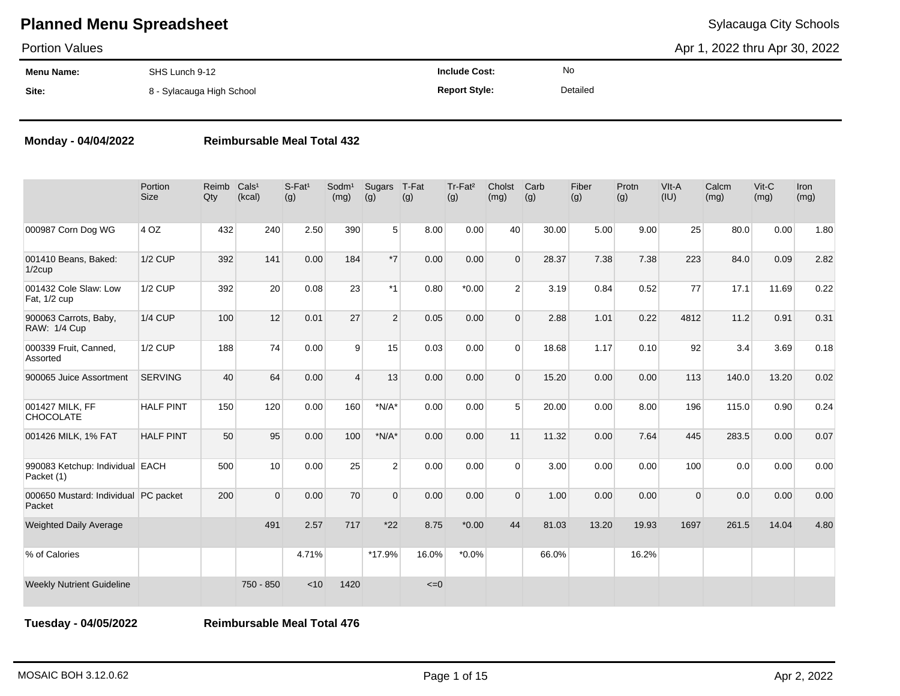Portion Values

Apr 1, 2022 thru Apr 30, 2022

| <b>Menu Name:</b> | SHS Lunch 9-12            | <b>Include Cost:</b> | No       |
|-------------------|---------------------------|----------------------|----------|
| Site:             | 8 - Sylacauga High School | <b>Report Style:</b> | Detailed |

## **Monday - 04/04/2022 Reimbursable Meal Total 432**

|                                                | Portion<br><b>Size</b> | Reimb<br>Qty | Cals <sup>1</sup><br>(kcal) | $S$ -Fat <sup>1</sup><br>(g) | Sodm <sup>1</sup><br>(mg) | Sugars<br>(g)  | T-Fat<br>(g) | Tr-Fat <sup>2</sup><br>(g) | Cholst<br>(mg) | Carb<br>(g) | Fiber<br>(g) | Protn<br>(g) | VIt-A<br>(IU) | Calcm<br>(mg) | Vit-C<br>(mg) | Iron<br>(mg) |
|------------------------------------------------|------------------------|--------------|-----------------------------|------------------------------|---------------------------|----------------|--------------|----------------------------|----------------|-------------|--------------|--------------|---------------|---------------|---------------|--------------|
| 000987 Corn Dog WG                             | 4 OZ                   | 432          | 240                         | 2.50                         | 390                       | 5              | 8.00         | 0.00                       | 40             | 30.00       | 5.00         | 9.00         | 25            | 80.0          | 0.00          | 1.80         |
| 001410 Beans, Baked:<br>$1/2$ cup              | <b>1/2 CUP</b>         | 392          | 141                         | 0.00                         | 184                       | $*7$           | 0.00         | 0.00                       | $\Omega$       | 28.37       | 7.38         | 7.38         | 223           | 84.0          | 0.09          | 2.82         |
| 001432 Cole Slaw: Low<br>Fat, 1/2 cup          | $1/2$ CUP              | 392          | 20                          | 0.08                         | 23                        | $*1$           | 0.80         | $*0.00$                    | $\overline{2}$ | 3.19        | 0.84         | 0.52         | 77            | 17.1          | 11.69         | 0.22         |
| 900063 Carrots, Baby,<br>RAW: 1/4 Cup          | $1/4$ CUP              | 100          | 12                          | 0.01                         | 27                        | $\overline{2}$ | 0.05         | 0.00                       | $\Omega$       | 2.88        | 1.01         | 0.22         | 4812          | 11.2          | 0.91          | 0.31         |
| 000339 Fruit, Canned,<br>Assorted              | <b>1/2 CUP</b>         | 188          | 74                          | 0.00                         | 9                         | 15             | 0.03         | 0.00                       | $\Omega$       | 18.68       | 1.17         | 0.10         | 92            | 3.4           | 3.69          | 0.18         |
| 900065 Juice Assortment                        | <b>SERVING</b>         | 40           | 64                          | 0.00                         | $\overline{4}$            | 13             | 0.00         | 0.00                       | $\Omega$       | 15.20       | 0.00         | 0.00         | 113           | 140.0         | 13.20         | 0.02         |
| 001427 MILK, FF<br><b>CHOCOLATE</b>            | <b>HALF PINT</b>       | 150          | 120                         | 0.00                         | 160                       | $*N/A*$        | 0.00         | 0.00                       | 5              | 20.00       | 0.00         | 8.00         | 196           | 115.0         | 0.90          | 0.24         |
| 001426 MILK, 1% FAT                            | <b>HALF PINT</b>       | 50           | 95                          | 0.00                         | 100                       | $*N/A*$        | 0.00         | 0.00                       | 11             | 11.32       | 0.00         | 7.64         | 445           | 283.5         | 0.00          | 0.07         |
| 990083 Ketchup: Individual EACH<br>Packet (1)  |                        | 500          | 10                          | 0.00                         | 25                        | 2              | 0.00         | 0.00                       | $\Omega$       | 3.00        | 0.00         | 0.00         | 100           | 0.0           | 0.00          | 0.00         |
| 000650 Mustard: Individual PC packet<br>Packet |                        | 200          | $\Omega$                    | 0.00                         | 70                        | $\Omega$       | 0.00         | 0.00                       | $\Omega$       | 1.00        | 0.00         | 0.00         | $\mathbf 0$   | 0.0           | 0.00          | 0.00         |
| <b>Weighted Daily Average</b>                  |                        |              | 491                         | 2.57                         | 717                       | $*22$          | 8.75         | $*0.00$                    | 44             | 81.03       | 13.20        | 19.93        | 1697          | 261.5         | 14.04         | 4.80         |
| % of Calories                                  |                        |              |                             | 4.71%                        |                           | $*17.9%$       | 16.0%        | $*0.0\%$                   |                | 66.0%       |              | 16.2%        |               |               |               |              |
| <b>Weekly Nutrient Guideline</b>               |                        |              | 750 - 850                   | < 10                         | 1420                      |                | $\leq=0$     |                            |                |             |              |              |               |               |               |              |

**Tuesday - 04/05/2022 Reimbursable Meal Total 476**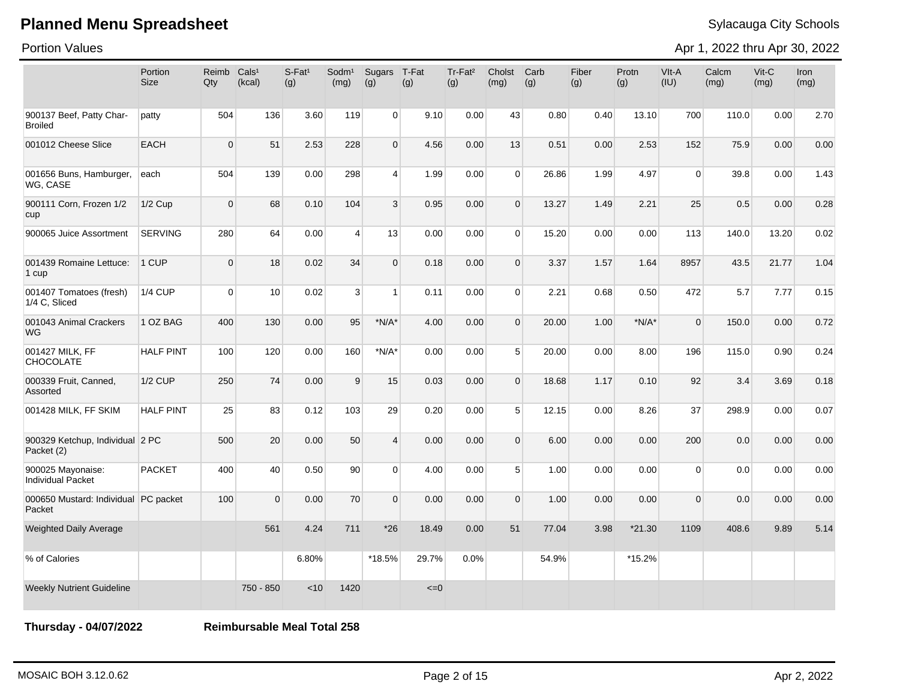Portion Values

Apr 1, 2022 thru Apr 30, 2022

|                                                | Portion<br><b>Size</b> | Reimb<br>Qty   | Cals <sup>1</sup><br>(kcal) | $S-Fat1$<br>(g) | Sodm <sup>1</sup><br>(mg) | Sugars<br>(g)  | T-Fat<br>(g) | Tr-Fat <sup>2</sup><br>(g) | Cholst<br>(mg) | Carb<br>(g) | Fiber<br>(g) | Protn<br>(g) | VIt-A<br>(IU) | Calcm<br>(mg) | Vit-C<br>(mg) | Iron<br>(mg) |
|------------------------------------------------|------------------------|----------------|-----------------------------|-----------------|---------------------------|----------------|--------------|----------------------------|----------------|-------------|--------------|--------------|---------------|---------------|---------------|--------------|
| 900137 Beef, Patty Char-<br><b>Broiled</b>     | patty                  | 504            | 136                         | 3.60            | 119                       | $\overline{0}$ | 9.10         | 0.00                       | 43             | 0.80        | 0.40         | 13.10        | 700           | 110.0         | 0.00          | 2.70         |
| 001012 Cheese Slice                            | <b>EACH</b>            | $\Omega$       | 51                          | 2.53            | 228                       | $\overline{0}$ | 4.56         | 0.00                       | 13             | 0.51        | 0.00         | 2.53         | 152           | 75.9          | 0.00          | 0.00         |
| 001656 Buns, Hamburger,<br>WG, CASE            | each                   | 504            | 139                         | 0.00            | 298                       | $\overline{4}$ | 1.99         | 0.00                       | $\Omega$       | 26.86       | 1.99         | 4.97         | $\Omega$      | 39.8          | 0.00          | 1.43         |
| 900111 Corn, Frozen 1/2<br>cup                 | $1/2$ Cup              | $\mathbf 0$    | 68                          | 0.10            | 104                       | $\mathbf{3}$   | 0.95         | 0.00                       | $\Omega$       | 13.27       | 1.49         | 2.21         | 25            | 0.5           | 0.00          | 0.28         |
| 900065 Juice Assortment                        | <b>SERVING</b>         | 280            | 64                          | 0.00            | $\overline{4}$            | 13             | 0.00         | 0.00                       | $\Omega$       | 15.20       | 0.00         | 0.00         | 113           | 140.0         | 13.20         | 0.02         |
| 001439 Romaine Lettuce:<br>1 cup               | 1 CUP                  | $\mathbf 0$    | 18                          | 0.02            | 34                        | $\Omega$       | 0.18         | 0.00                       | $\Omega$       | 3.37        | 1.57         | 1.64         | 8957          | 43.5          | 21.77         | 1.04         |
| 001407 Tomatoes (fresh)<br>1/4 C. Sliced       | <b>1/4 CUP</b>         | $\overline{0}$ | 10                          | 0.02            | 3                         | $\mathbf{1}$   | 0.11         | 0.00                       | $\Omega$       | 2.21        | 0.68         | 0.50         | 472           | 5.7           | 7.77          | 0.15         |
| 001043 Animal Crackers<br><b>WG</b>            | 1 OZ BAG               | 400            | 130                         | 0.00            | 95                        | $*N/A*$        | 4.00         | 0.00                       | $\Omega$       | 20.00       | 1.00         | $*N/A*$      | $\mathbf{0}$  | 150.0         | 0.00          | 0.72         |
| 001427 MILK, FF<br>CHOCOLATE                   | <b>HALF PINT</b>       | 100            | 120                         | 0.00            | 160                       | $*N/A*$        | 0.00         | 0.00                       | 5 <sup>1</sup> | 20.00       | 0.00         | 8.00         | 196           | 115.0         | 0.90          | 0.24         |
| 000339 Fruit, Canned,<br>Assorted              | <b>1/2 CUP</b>         | 250            | 74                          | 0.00            | 9                         | 15             | 0.03         | 0.00                       | $\overline{0}$ | 18.68       | 1.17         | 0.10         | 92            | 3.4           | 3.69          | 0.18         |
| 001428 MILK, FF SKIM                           | <b>HALF PINT</b>       | 25             | 83                          | 0.12            | 103                       | 29             | 0.20         | 0.00                       | 5 <sup>1</sup> | 12.15       | 0.00         | 8.26         | 37            | 298.9         | 0.00          | 0.07         |
| 900329 Ketchup, Individual 2 PC<br>Packet (2)  |                        | 500            | 20                          | 0.00            | 50                        | $\overline{4}$ | 0.00         | 0.00                       | $\overline{0}$ | 6.00        | 0.00         | 0.00         | 200           | 0.0           | 0.00          | 0.00         |
| 900025 Mayonaise:<br><b>Individual Packet</b>  | <b>PACKET</b>          | 400            | 40                          | 0.50            | 90                        | $\overline{0}$ | 4.00         | 0.00                       | 5 <sup>1</sup> | 1.00        | 0.00         | 0.00         | 0             | 0.0           | 0.00          | 0.00         |
| 000650 Mustard: Individual PC packet<br>Packet |                        | 100            | $\Omega$                    | 0.00            | 70                        | $\overline{0}$ | 0.00         | 0.00                       | $\overline{0}$ | 1.00        | 0.00         | 0.00         | $\mathbf 0$   | 0.0           | 0.00          | 0.00         |
| <b>Weighted Daily Average</b>                  |                        |                | 561                         | 4.24            | 711                       | $*26$          | 18.49        | 0.00                       | 51             | 77.04       | 3.98         | $*21.30$     | 1109          | 408.6         | 9.89          | 5.14         |
| % of Calories                                  |                        |                |                             | 6.80%           |                           | $*18.5%$       | 29.7%        | 0.0%                       |                | 54.9%       |              | $*15.2\%$    |               |               |               |              |
| <b>Weekly Nutrient Guideline</b>               |                        |                | 750 - 850                   | < 10            | 1420                      |                | $\leq=0$     |                            |                |             |              |              |               |               |               |              |

**Thursday - 04/07/2022 Reimbursable Meal Total 258**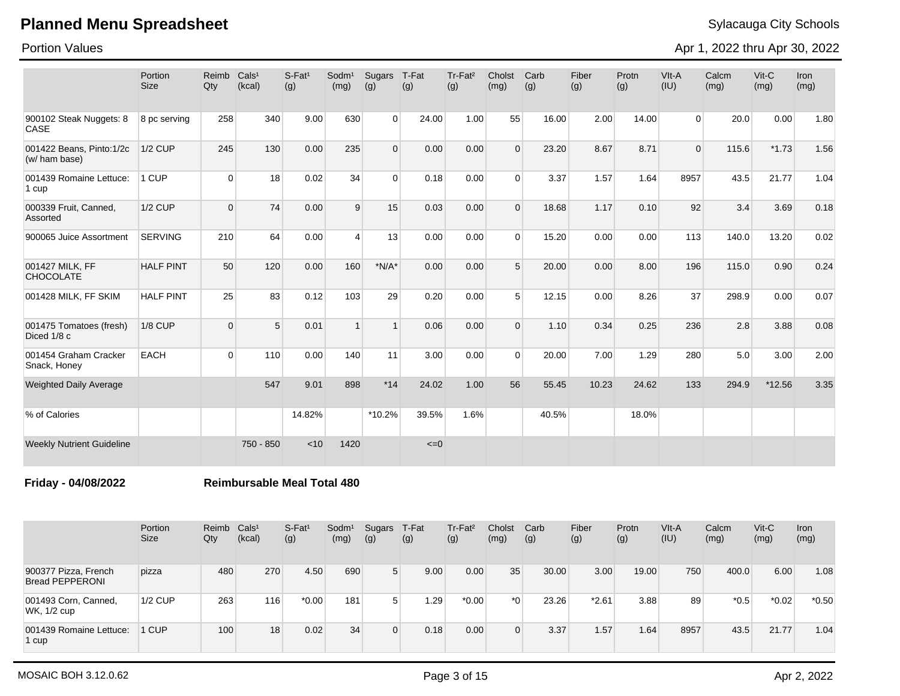Portion Values

Apr 1, 2022 thru Apr 30, 2022

|                                           | Portion<br><b>Size</b> | Reimb<br>Qty | Cals <sup>1</sup><br>(kcal) | $S$ -Fat <sup>1</sup><br>(g) | Sodm <sup>1</sup><br>(mg) | Sugars<br>(g)  | T-Fat<br>(g) | Tr-Fat <sup>2</sup><br>(g) | Cholst<br>(mg) | Carb<br>(g) | Fiber<br>(g) | Protn<br>(g) | VIt-A<br>(IU)  | Calcm<br>(mg) | Vit-C<br>(mg) | Iron<br>(mg) |
|-------------------------------------------|------------------------|--------------|-----------------------------|------------------------------|---------------------------|----------------|--------------|----------------------------|----------------|-------------|--------------|--------------|----------------|---------------|---------------|--------------|
| 900102 Steak Nuggets: 8<br><b>CASE</b>    | 8 pc serving           | 258          | 340                         | 9.00                         | 630                       | $\overline{0}$ | 24.00        | 1.00                       | 55             | 16.00       | 2.00         | 14.00        | $\overline{0}$ | 20.0          | 0.00          | 1.80         |
| 001422 Beans, Pinto:1/2c<br>(w/ ham base) | <b>1/2 CUP</b>         | 245          | 130                         | 0.00                         | 235                       | $\Omega$       | 0.00         | 0.00                       | $\Omega$       | 23.20       | 8.67         | 8.71         | $\mathbf{0}$   | 115.6         | $*1.73$       | 1.56         |
| 001439 Romaine Lettuce:<br>1 cup          | 1 CUP                  | $\Omega$     | 18                          | 0.02                         | 34                        | $\Omega$       | 0.18         | 0.00                       | $\Omega$       | 3.37        | 1.57         | 1.64         | 8957           | 43.5          | 21.77         | 1.04         |
| 000339 Fruit, Canned,<br>Assorted         | <b>1/2 CUP</b>         | $\mathbf 0$  | 74                          | 0.00                         | 9                         | 15             | 0.03         | 0.00                       | $\Omega$       | 18.68       | 1.17         | 0.10         | 92             | 3.4           | 3.69          | 0.18         |
| 900065 Juice Assortment                   | <b>SERVING</b>         | 210          | 64                          | 0.00                         | $\overline{4}$            | 13             | 0.00         | 0.00                       | $\Omega$       | 15.20       | 0.00         | 0.00         | 113            | 140.0         | 13.20         | 0.02         |
| 001427 MILK, FF<br><b>CHOCOLATE</b>       | <b>HALF PINT</b>       | 50           | 120                         | 0.00                         | 160                       | $*N/A*$        | 0.00         | 0.00                       | 5              | 20.00       | 0.00         | 8.00         | 196            | 115.0         | 0.90          | 0.24         |
| 001428 MILK, FF SKIM                      | <b>HALF PINT</b>       | 25           | 83                          | 0.12                         | 103                       | 29             | 0.20         | 0.00                       | 5              | 12.15       | 0.00         | 8.26         | 37             | 298.9         | 0.00          | 0.07         |
| 001475 Tomatoes (fresh)<br>Diced 1/8 c    | <b>1/8 CUP</b>         | $\Omega$     | 5                           | 0.01                         | $\overline{1}$            | $\overline{1}$ | 0.06         | 0.00                       | $\Omega$       | 1.10        | 0.34         | 0.25         | 236            | 2.8           | 3.88          | 0.08         |
| 001454 Graham Cracker<br>Snack, Honey     | <b>EACH</b>            | $\Omega$     | 110                         | 0.00                         | 140                       | 11             | 3.00         | 0.00                       | $\Omega$       | 20.00       | 7.00         | 1.29         | 280            | 5.0           | 3.00          | 2.00         |
| <b>Weighted Daily Average</b>             |                        |              | 547                         | 9.01                         | 898                       | $*14$          | 24.02        | 1.00                       | 56             | 55.45       | 10.23        | 24.62        | 133            | 294.9         | $*12.56$      | 3.35         |
| % of Calories                             |                        |              |                             | 14.82%                       |                           | *10.2%         | 39.5%        | 1.6%                       |                | 40.5%       |              | 18.0%        |                |               |               |              |
| <b>Weekly Nutrient Guideline</b>          |                        |              | 750 - 850                   | < 10                         | 1420                      |                | $\leq=0$     |                            |                |             |              |              |                |               |               |              |

**Friday - 04/08/2022 Reimbursable Meal Total 480**

|                                                | Portion<br><b>Size</b> | Reimb<br>Qty | Cals <sup>1</sup><br>(kcal) | $S$ -Fat <sup>1</sup><br>(g) | Sodm <sup>1</sup><br>(mg) | Sugars<br>(g)  | T-Fat<br>(g) | Tr-Fat <sup>2</sup><br>(g) | Cholst<br>(mg) | Carb<br>(g) | Fiber<br>(g) | Protn<br>(g) | VIt-A<br>(IU) | Calcm<br>(mg) | Vit-C<br>(mg) | Iron<br>(mg) |
|------------------------------------------------|------------------------|--------------|-----------------------------|------------------------------|---------------------------|----------------|--------------|----------------------------|----------------|-------------|--------------|--------------|---------------|---------------|---------------|--------------|
| 900377 Pizza, French<br><b>Bread PEPPERONI</b> | pizza                  | 480          | 270                         | 4.50                         | 690                       | 5              | 9.00         | 0.00                       | 35             | 30.00       | 3.00         | 19.00        | 750           | 400.0         | 6.00          | 1.08         |
| 001493 Corn, Canned,<br>WK, 1/2 cup            | $1/2$ CUP              | 263          | 116                         | $*0.00$                      | 181                       | 5 <sup>1</sup> | 1.29         | $*0.00$                    | *ດ ⊧           | 23.26       | $*2.61$      | 3.88         | 89            | $*0.5$        | $*0.02$       | $*0.50$      |
| 001439 Romaine Lettuce:<br>1 cup               | 1 CUP                  | 100          | 18                          | 0.02                         | 34                        | $\Omega$       | 0.18         | 0.00                       | 0              | 3.37        | 1.57         | 1.64         | 8957          | 43.5          | 21.77         | 1.04         |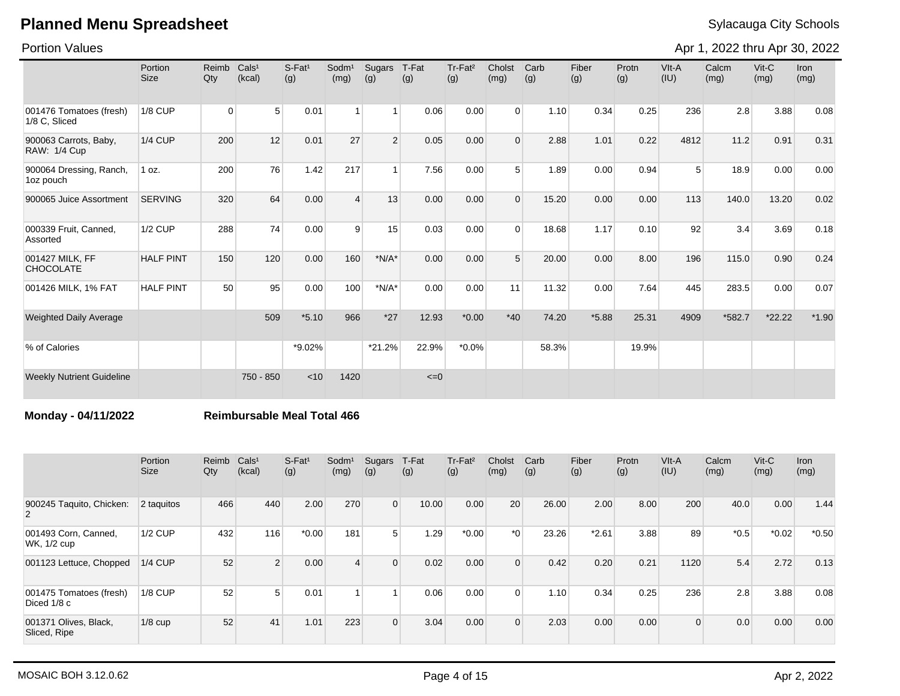Portion Values

Apr 1, 2022 thru Apr 30, 2022

|                                              | Portion<br><b>Size</b> | Reimb<br>Qty | Cals <sup>1</sup><br>(kcal) | $S-Fat1$<br>(g) | Sodm <sup>1</sup><br>(mg) | Sugars<br>(g)  | T-Fat<br>(g) | Tr-Fat <sup>2</sup><br>(g) | Cholst<br>(mg) | Carb<br>(g) | Fiber<br>(g) | Protn<br>(g) | VIt-A<br>(IU)  | Calcm<br>(mg) | $V$ it-C<br>(mg) | <b>Iron</b><br>(mg) |
|----------------------------------------------|------------------------|--------------|-----------------------------|-----------------|---------------------------|----------------|--------------|----------------------------|----------------|-------------|--------------|--------------|----------------|---------------|------------------|---------------------|
| 001476 Tomatoes (fresh)<br>1/8 C. Sliced     | <b>1/8 CUP</b>         | $\Omega$     | 5                           | 0.01            | $\overline{1}$            | 1 <sup>1</sup> | 0.06         | 0.00                       | $\Omega$       | 1.10        | 0.34         | 0.25         | 236            | 2.8           | 3.88             | 0.08                |
| 900063 Carrots, Baby,<br><b>RAW: 1/4 Cup</b> | <b>1/4 CUP</b>         | 200          | 12                          | 0.01            | 27                        | $\overline{2}$ | 0.05         | 0.00                       | $\Omega$       | 2.88        | 1.01         | 0.22         | 4812           | 11.2          | 0.91             | 0.31                |
| 900064 Dressing, Ranch,<br>1oz pouch         | 1 oz.                  | 200          | 76                          | 1.42            | 217                       | $\mathbf{1}$   | 7.56         | 0.00                       | 5              | 1.89        | 0.00         | 0.94         | 5 <sup>1</sup> | 18.9          | 0.00             | 0.00                |
| 900065 Juice Assortment                      | <b>SERVING</b>         | 320          | 64                          | 0.00            | $\overline{4}$            | 13             | 0.00         | 0.00                       | $\Omega$       | 15.20       | 0.00         | 0.00         | 113            | 140.0         | 13.20            | 0.02                |
| 000339 Fruit, Canned,<br>Assorted            | <b>1/2 CUP</b>         | 288          | 74                          | 0.00            | 9                         | 15             | 0.03         | 0.00                       | $\Omega$       | 18.68       | 1.17         | 0.10         | 92             | 3.4           | 3.69             | 0.18                |
| 001427 MILK, FF<br><b>CHOCOLATE</b>          | <b>HALF PINT</b>       | 150          | 120                         | 0.00            | 160                       | $*N/A*$        | 0.00         | 0.00                       | 5              | 20.00       | 0.00         | 8.00         | 196            | 115.0         | 0.90             | 0.24                |
| 001426 MILK, 1% FAT                          | <b>HALF PINT</b>       | 50           | 95                          | 0.00            | 100                       | $*N/A*$        | 0.00         | 0.00                       | 11             | 11.32       | 0.00         | 7.64         | 445            | 283.5         | 0.00             | 0.07                |
| <b>Weighted Daily Average</b>                |                        |              | 509                         | $*5.10$         | 966                       | $*27$          | 12.93        | $*0.00$                    | $*40$          | 74.20       | $*5.88$      | 25.31        | 4909           | *582.7        | $*22.22$         | $*1.90$             |
| % of Calories                                |                        |              |                             | *9.02%          |                           | $*21.2%$       | 22.9%        | $*0.0\%$                   |                | 58.3%       |              | 19.9%        |                |               |                  |                     |
| <b>Weekly Nutrient Guideline</b>             |                        |              | 750 - 850                   | < 10            | 1420                      |                | $\leq=0$     |                            |                |             |              |              |                |               |                  |                     |

### **Monday - 04/11/2022 Reimbursable Meal Total 466**

|                                        | Portion<br><b>Size</b> | Reimb<br>Qty | Cals <sup>1</sup><br>(kcal) | $S-Fat1$<br>(g) | Sodm <sup>1</sup><br>(mg) | Sugars<br>(g)  | T-Fat<br>(g) | Tr-Fat <sup>2</sup><br>(g) | Cholst<br>(mg) | Carb<br>(g) | Fiber<br>(g) | Protn<br>(g) | VIt-A<br>(IU) | Calcm<br>(mg) | $V$ it-C<br>(mg) | <b>Iron</b><br>(mg) |
|----------------------------------------|------------------------|--------------|-----------------------------|-----------------|---------------------------|----------------|--------------|----------------------------|----------------|-------------|--------------|--------------|---------------|---------------|------------------|---------------------|
| 900245 Taquito, Chicken:<br>2          | 2 taquitos             | 466          | 440                         | 2.00            | 270                       | $\overline{0}$ | 10.00        | 0.00                       | 20             | 26.00       | 2.00         | 8.00         | 200           | 40.0          | 0.00             | 1.44                |
| 001493 Corn, Canned,<br>WK, 1/2 cup    | <b>1/2 CUP</b>         | 432          | 116                         | $*0.00$         | 181                       | 5 <sup>1</sup> | 1.29         | $*0.00$                    | $*_{0}$        | 23.26       | $*2.61$      | 3.88         | 89            | $*0.5$        | $*0.02$          | $*0.50$             |
| 001123 Lettuce, Chopped                | <b>1/4 CUP</b>         | 52           | $\mathcal{P}$               | 0.00            | $\overline{4}$            | $\Omega$       | 0.02         | 0.00                       | $\Omega$       | 0.42        | 0.20         | 0.21         | 1120          | 5.4           | 2.72             | 0.13                |
| 001475 Tomatoes (fresh)<br>Diced 1/8 c | <b>1/8 CUP</b>         | 52           | 5                           | 0.01            |                           |                | 0.06         | 0.00                       | $\Omega$       | 1.10        | 0.34         | 0.25         | 236           | 2.8           | 3.88             | 0.08                |
| 001371 Olives, Black,<br>Sliced, Ripe  | $1/8$ cup              | 52           | 41                          | 1.01            | 223                       | $\Omega$       | 3.04         | 0.00                       | $\Omega$       | 2.03        | 0.00         | 0.00         | $\Omega$      | 0.0           | 0.00             | 0.00                |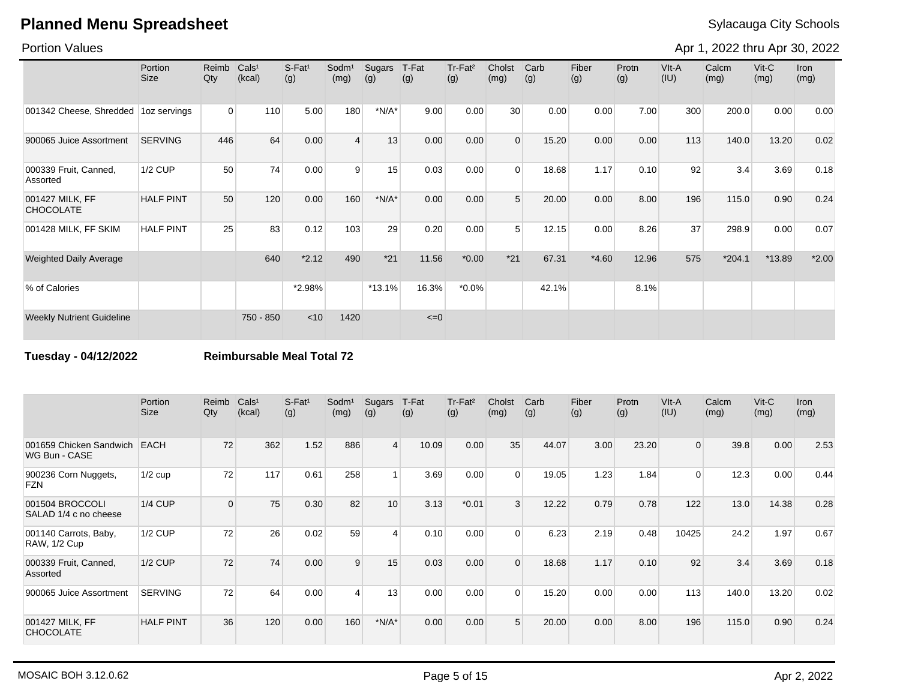### Portion Values

Apr 1, 2022 thru Apr 30, 2022

|                                        | Portion<br><b>Size</b> | Reimb<br>Qty   | Cals <sup>1</sup><br>(kcal) | $S-Fat1$<br>(g) | Sodm <sup>1</sup><br>(mg) | Sugars<br>(g) | T-Fat<br>(g) | Tr-Fat <sup>2</sup><br>(g) | Cholst<br>(mg)  | Carb<br>(g) | Fiber<br>(g) | Protn<br>(g) | VIt-A<br>(IU) | Calcm<br>(mg) | $V$ it-C<br>(mg) | <b>Iron</b><br>(mg) |
|----------------------------------------|------------------------|----------------|-----------------------------|-----------------|---------------------------|---------------|--------------|----------------------------|-----------------|-------------|--------------|--------------|---------------|---------------|------------------|---------------------|
| 001342 Cheese, Shredded   1oz servings |                        | $\overline{0}$ | 110                         | 5.00            | 180                       | $*N/A*$       | 9.00         | 0.00                       | 30 <sup>°</sup> | 0.00        | 0.00         | 7.00         | 300           | 200.0         | 0.00             | 0.00                |
| 900065 Juice Assortment                | <b>SERVING</b>         | 446            | 64                          | 0.00            | $\overline{4}$            | 13            | 0.00         | 0.00                       | $\mathbf 0$     | 15.20       | 0.00         | 0.00         | 113           | 140.0         | 13.20            | 0.02                |
| 000339 Fruit, Canned,<br>Assorted      | <b>1/2 CUP</b>         | 50             | 74                          | 0.00            | 9                         | 15            | 0.03         | 0.00                       | $\Omega$        | 18.68       | 1.17         | 0.10         | 92            | 3.4           | 3.69             | 0.18                |
| 001427 MILK, FF<br><b>CHOCOLATE</b>    | <b>HALF PINT</b>       | 50             | 120                         | 0.00            | 160                       | $*N/A*$       | 0.00         | 0.00                       | 5               | 20.00       | 0.00         | 8.00         | 196           | 115.0         | 0.90             | 0.24                |
| 001428 MILK, FF SKIM                   | <b>HALF PINT</b>       | 25             | 83                          | 0.12            | 103                       | 29            | 0.20         | 0.00                       | 5               | 12.15       | 0.00         | 8.26         | 37            | 298.9         | 0.00             | 0.07                |
| <b>Weighted Daily Average</b>          |                        |                | 640                         | $*2.12$         | 490                       | $*21$         | 11.56        | $*0.00$                    | $*21$           | 67.31       | $*4.60$      | 12.96        | 575           | $*204.1$      | *13.89           | $*2.00$             |
| % of Calories                          |                        |                |                             | $*2.98\%$       |                           | $*13.1%$      | 16.3%        | $*0.0\%$                   |                 | 42.1%       |              | 8.1%         |               |               |                  |                     |
| <b>Weekly Nutrient Guideline</b>       |                        |                | 750 - 850                   | $<$ 10          | 1420                      |               | $\leq=0$     |                            |                 |             |              |              |               |               |                  |                     |

**Tuesday - 04/12/2022 Reimbursable Meal Total 72**

|                                              | Portion<br><b>Size</b> | Reimb<br>Qty | Cals <sup>1</sup><br>(kcal) | $S-Fat1$<br>(g) | Sodm <sup>1</sup><br>(mg) | Sugars<br>(g)  | T-Fat<br>(g) | Tr-Fat <sup>2</sup><br>(g) | Cholst<br>(mg) | Carb<br>(g) | Fiber<br>(g) | Protn<br>(g) | VIt-A<br>(IU) | Calcm<br>(mg) | $V$ it-C<br>(mg) | <b>Iron</b><br>(mg) |
|----------------------------------------------|------------------------|--------------|-----------------------------|-----------------|---------------------------|----------------|--------------|----------------------------|----------------|-------------|--------------|--------------|---------------|---------------|------------------|---------------------|
| 001659 Chicken Sandwich<br>WG Bun - CASE     | <b>EACH</b>            | 72           | 362                         | 1.52            | 886                       | $\vert$        | 10.09        | 0.00                       | 35             | 44.07       | 3.00         | 23.20        | $\Omega$      | 39.8          | 0.00             | 2.53                |
| 900236 Corn Nuggets,<br><b>FZN</b>           | $1/2$ cup              | 72           | 117                         | 0.61            | 258                       |                | 3.69         | 0.00                       | $\mathbf 0$    | 19.05       | 1.23         | 1.84         | $\Omega$      | 12.3          | 0.00             | 0.44                |
| 001504 BROCCOLI<br>SALAD 1/4 c no cheese     | $1/4$ CUP              | $\Omega$     | 75                          | 0.30            | 82                        | 10             | 3.13         | $*0.01$                    | 3              | 12.22       | 0.79         | 0.78         | 122           | 13.0          | 14.38            | 0.28                |
| 001140 Carrots, Baby,<br><b>RAW, 1/2 Cup</b> | 1/2 CUP                | 72           | 26 <sup>1</sup>             | 0.02            | 59                        | $\overline{4}$ | 0.10         | 0.00                       | $\overline{0}$ | 6.23        | 2.19         | 0.48         | 10425         | 24.2          | 1.97             | 0.67                |
| 000339 Fruit, Canned,<br>Assorted            | $1/2$ CUP              | 72           | 74                          | 0.00            | 9                         | 15             | 0.03         | 0.00                       | $\Omega$       | 18.68       | 1.17         | 0.10         | 92            | 3.4           | 3.69             | 0.18                |
| 900065 Juice Assortment                      | <b>SERVING</b>         | 72           | 64                          | 0.00            | Δ                         | 13             | 0.00         | 0.00                       | $\Omega$       | 15.20       | 0.00         | 0.00         | 113           | 140.0         | 13.20            | 0.02                |
| 001427 MILK, FF<br><b>CHOCOLATE</b>          | <b>HALF PINT</b>       | 36           | 120                         | 0.00            | 160                       | $*N/A*$        | 0.00         | 0.00                       | 5              | 20.00       | 0.00         | 8.00         | 196           | 115.0         | 0.90             | 0.24                |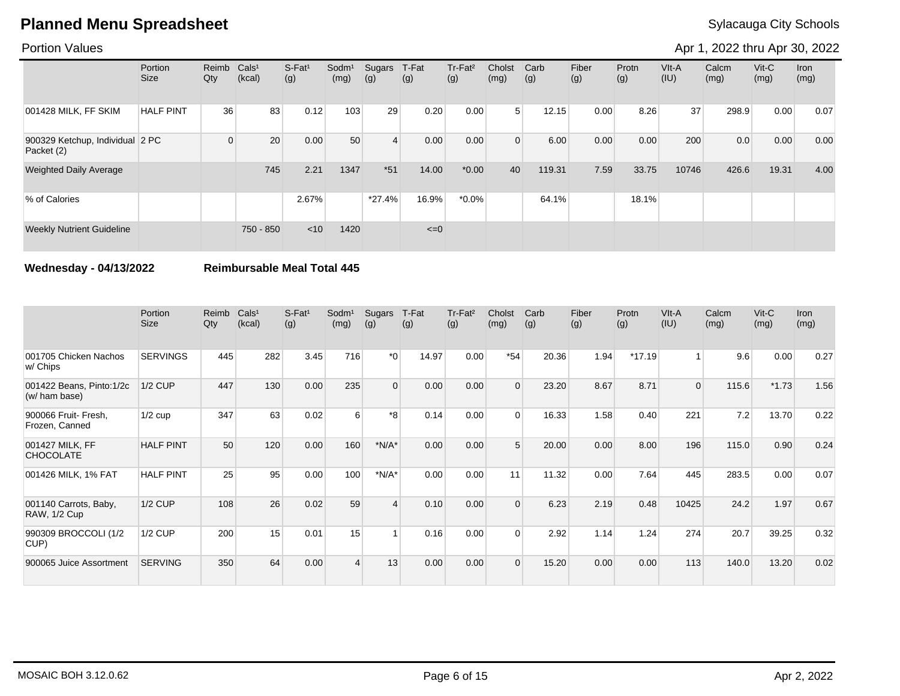### Portion Values

Apr 1, 2022 thru Apr 30, 2022

|                                               | Portion<br>Size  | Reimb<br>Qty | Cals <sup>1</sup><br>(kcal) | S-Fat <sup>1</sup><br>(g) | Sodm <sup>1</sup><br>(mg) | Sugars<br>(g) | T-Fat<br>(g) | Tr-Fat <sup>2</sup><br>(g) | Cholst<br>(mg) | Carb<br>(g) | Fiber<br>(g) | Protn<br>(g) | $V$ lt-A<br>(IU) | Calcm<br>(mg) | $V$ it-C<br>(mg) | Iron<br>(mg) |
|-----------------------------------------------|------------------|--------------|-----------------------------|---------------------------|---------------------------|---------------|--------------|----------------------------|----------------|-------------|--------------|--------------|------------------|---------------|------------------|--------------|
| 001428 MILK, FF SKIM                          | <b>HALF PINT</b> | 36           | 83                          | 0.12                      | 103                       | 29            | 0.20         | 0.00                       | 5 <sup>1</sup> | 12.15       | 0.00         | 8.26         | 37               | 298.9         | 0.00             | 0.07         |
| 900329 Ketchup, Individual 2 PC<br>Packet (2) |                  | 0            | 20                          | 0.00                      | 50                        | 4             | 0.00         | 0.00                       | $\Omega$       | 6.00        | 0.00         | 0.00         | 200              | 0.0           | 0.00             | 0.00         |
| <b>Weighted Daily Average</b>                 |                  |              | 745                         | 2.21                      | 1347                      | $*51$         | 14.00        | $*0.00$                    | 40             | 119.31      | 7.59         | 33.75        | 10746            | 426.6         | 19.31            | 4.00         |
| % of Calories                                 |                  |              |                             | 2.67%                     |                           | $*27.4%$      | 16.9%        | $*0.0\%$                   |                | 64.1%       |              | 18.1%        |                  |               |                  |              |
| <b>Weekly Nutrient Guideline</b>              |                  |              | 750 - 850                   | < 10                      | 1420                      |               | $\leq=0$     |                            |                |             |              |              |                  |               |                  |              |

**Wednesday - 04/13/2022 Reimbursable Meal Total 445**

|                                              | Portion<br><b>Size</b> | Reimb<br>Qty | Cals <sup>1</sup><br>(kcal) | $S-Fat1$<br>(g) | Sodm <sup>1</sup><br>(mg) | Sugars<br>(g)  | T-Fat<br>(g) | Tr-Fat <sup>2</sup><br>(g) | Cholst<br>(mg) | Carb<br>(g) | Fiber<br>(g) | Protn<br>(g) | VIt-A<br>(IU) | Calcm<br>(mg) | $V$ it-C<br>(mg) | <b>Iron</b><br>(mg) |
|----------------------------------------------|------------------------|--------------|-----------------------------|-----------------|---------------------------|----------------|--------------|----------------------------|----------------|-------------|--------------|--------------|---------------|---------------|------------------|---------------------|
| 001705 Chicken Nachos<br>w/ Chips            | <b>SERVINGS</b>        | 445          | 282                         | 3.45            | 716                       | $*_{0}$        | 14.97        | 0.00                       | $*54$          | 20.36       | 1.94         | $*17.19$     |               | 9.6           | 0.00             | 0.27                |
| 001422 Beans, Pinto:1/2c<br>(w/ ham base)    | $1/2$ CUP              | 447          | 130                         | 0.00            | 235                       | $\Omega$       | 0.00         | 0.00                       | $\Omega$       | 23.20       | 8.67         | 8.71         | $\Omega$      | 115.6         | $*1.73$          | 1.56                |
| 900066 Fruit- Fresh,<br>Frozen, Canned       | $1/2$ cup              | 347          | 63                          | 0.02            | 6                         | $*_{8}$        | 0.14         | 0.00                       | $\Omega$       | 16.33       | 1.58         | 0.40         | 221           | 7.2           | 13.70            | 0.22                |
| 001427 MILK, FF<br><b>CHOCOLATE</b>          | <b>HALF PINT</b>       | 50           | 120                         | 0.00            | 160                       | $*N/A*$        | 0.00         | 0.00                       | 5              | 20.00       | 0.00         | 8.00         | 196           | 115.0         | 0.90             | 0.24                |
| 001426 MILK, 1% FAT                          | <b>HALF PINT</b>       | 25           | 95                          | 0.00            | 100                       | $*N/A*$        | 0.00         | 0.00                       | 11             | 11.32       | 0.00         | 7.64         | 445           | 283.5         | 0.00             | 0.07                |
| 001140 Carrots, Baby,<br><b>RAW, 1/2 Cup</b> | <b>1/2 CUP</b>         | 108          | 26                          | 0.02            | 59                        | $\overline{4}$ | 0.10         | 0.00                       | $\Omega$       | 6.23        | 2.19         | 0.48         | 10425         | 24.2          | 1.97             | 0.67                |
| 990309 BROCCOLI (1/2<br>CUP)                 | <b>1/2 CUP</b>         | 200          | 15                          | 0.01            | 15                        |                | 0.16         | 0.00                       | $\Omega$       | 2.92        | 1.14         | 1.24         | 274           | 20.7          | 39.25            | 0.32                |
| 900065 Juice Assortment                      | <b>SERVING</b>         | 350          | 64                          | 0.00            |                           | 13             | 0.00         | 0.00                       | $\Omega$       | 15.20       | 0.00         | 0.00         | 113           | 140.0         | 13.20            | 0.02                |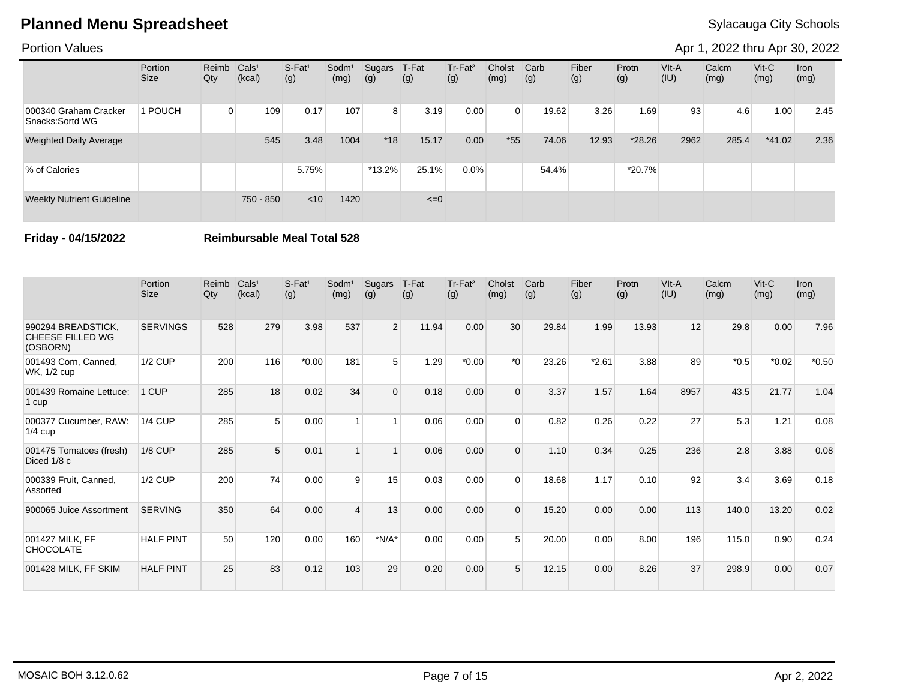### Portion Values

Apr 1, 2022 thru Apr 30, 2022

|                                           | Portion<br>Size | Reimb<br>Qty | Cals <sup>1</sup><br>(kcal) | S-Fat <sup>1</sup><br>(g) | Sodm <sup>1</sup><br>(mg) | Sugars<br>(g)  | T-Fat<br>(g) | Tr-Fat <sup>2</sup><br>(g) | Cholst<br>(mg) | Carb<br>(g) | Fiber<br>(g) | Protn<br>(g) | VIt-A<br>(IU) | Calcm<br>(mg) | $V$ it-C<br>(mg) | <b>Iron</b><br>(mg) |
|-------------------------------------------|-----------------|--------------|-----------------------------|---------------------------|---------------------------|----------------|--------------|----------------------------|----------------|-------------|--------------|--------------|---------------|---------------|------------------|---------------------|
| 000340 Graham Cracker<br>Snacks: Sortd WG | 1 POUCH         | $\Omega$     | 109                         | 0.17                      | 107                       | 8 <sup>1</sup> | 3.19         | 0.00                       | $\Omega$       | 19.62       | 3.26         | 1.69         | 93            | 4.6           | 1.00             | 2.45                |
| <b>Weighted Daily Average</b>             |                 |              | 545                         | 3.48                      | 1004                      | $*18$          | 15.17        | 0.00                       | $*55$          | 74.06       | 12.93        | $*28.26$     | 2962          | 285.4         | $*41.02$         | 2.36                |
| % of Calories                             |                 |              |                             | 5.75%                     |                           | $*13.2\%$      | 25.1%        | 0.0%                       |                | 54.4%       |              | *20.7%       |               |               |                  |                     |
| <b>Weekly Nutrient Guideline</b>          |                 |              | 750 - 850                   | $<$ 10                    | 1420                      |                | $\leq=0$     |                            |                |             |              |              |               |               |                  |                     |

**Friday - 04/15/2022 Reimbursable Meal Total 528**

|                                                           | Portion<br><b>Size</b> | Reimb<br>Qty | Cals <sup>1</sup><br>(kcal) | S-Fat <sup>1</sup><br>(g) | Sodm <sup>1</sup><br>(mg) | Sugars<br>(g)  | T-Fat<br>(g) | Tr-Fat <sup>2</sup><br>(g) | Cholst<br>(mg) | Carb<br>(g) | Fiber<br>(g) | Protn<br>(g) | VIt-A<br>(IU) | Calcm<br>(mg) | $V$ it-C<br>(mg) | <b>Iron</b><br>(mg) |
|-----------------------------------------------------------|------------------------|--------------|-----------------------------|---------------------------|---------------------------|----------------|--------------|----------------------------|----------------|-------------|--------------|--------------|---------------|---------------|------------------|---------------------|
| 990294 BREADSTICK,<br><b>CHEESE FILLED WG</b><br>(OSBORN) | <b>SERVINGS</b>        | 528          | 279                         | 3.98                      | 537                       | $\overline{2}$ | 11.94        | 0.00                       | 30             | 29.84       | 1.99         | 13.93        | 12            | 29.8          | 0.00             | 7.96                |
| 001493 Corn, Canned,<br>WK, 1/2 cup                       | <b>1/2 CUP</b>         | 200          | 116                         | $*0.00$                   | 181                       | 5              | 1.29         | $*0.00$                    | $*$ $\Omega$   | 23.26       | $*2.61$      | 3.88         | 89            | $*0.5$        | $*0.02$          | $*0.50$             |
| 001439 Romaine Lettuce:<br>1 cup                          | 1 CUP                  | 285          | 18                          | 0.02                      | 34                        | $\Omega$       | 0.18         | 0.00                       | $\Omega$       | 3.37        | 1.57         | 1.64         | 8957          | 43.5          | 21.77            | 1.04                |
| 000377 Cucumber, RAW:<br>$1/4$ cup                        | <b>1/4 CUP</b>         | 285          | 5                           | 0.00                      |                           |                | 0.06         | 0.00                       | $\Omega$       | 0.82        | 0.26         | 0.22         | 27            | 5.3           | 1.21             | 0.08                |
| 001475 Tomatoes (fresh)<br>Diced 1/8 c                    | 1/8 CUP                | 285          | 5                           | 0.01                      |                           |                | 0.06         | 0.00                       | $\Omega$       | 1.10        | 0.34         | 0.25         | 236           | 2.8           | 3.88             | 0.08                |
| 000339 Fruit, Canned,<br>Assorted                         | <b>1/2 CUP</b>         | 200          | 74                          | 0.00                      | 9                         | 15             | 0.03         | 0.00                       | $\Omega$       | 18.68       | 1.17         | 0.10         | 92            | 3.4           | 3.69             | 0.18                |
| 900065 Juice Assortment                                   | <b>SERVING</b>         | 350          | 64                          | 0.00                      |                           | 13             | 0.00         | 0.00                       | $\Omega$       | 15.20       | 0.00         | 0.00         | 113           | 140.0         | 13.20            | 0.02                |
| 001427 MILK, FF<br><b>CHOCOLATE</b>                       | <b>HALF PINT</b>       | 50           | 120                         | 0.00                      | 160                       | $*N/A*$        | 0.00         | 0.00                       | 5              | 20.00       | 0.00         | 8.00         | 196           | 115.0         | 0.90             | 0.24                |
| 001428 MILK, FF SKIM                                      | <b>HALF PINT</b>       | 25           | 83                          | 0.12                      | 103                       | 29             | 0.20         | 0.00                       | 5              | 12.15       | 0.00         | 8.26         | 37            | 298.9         | 0.00             | 0.07                |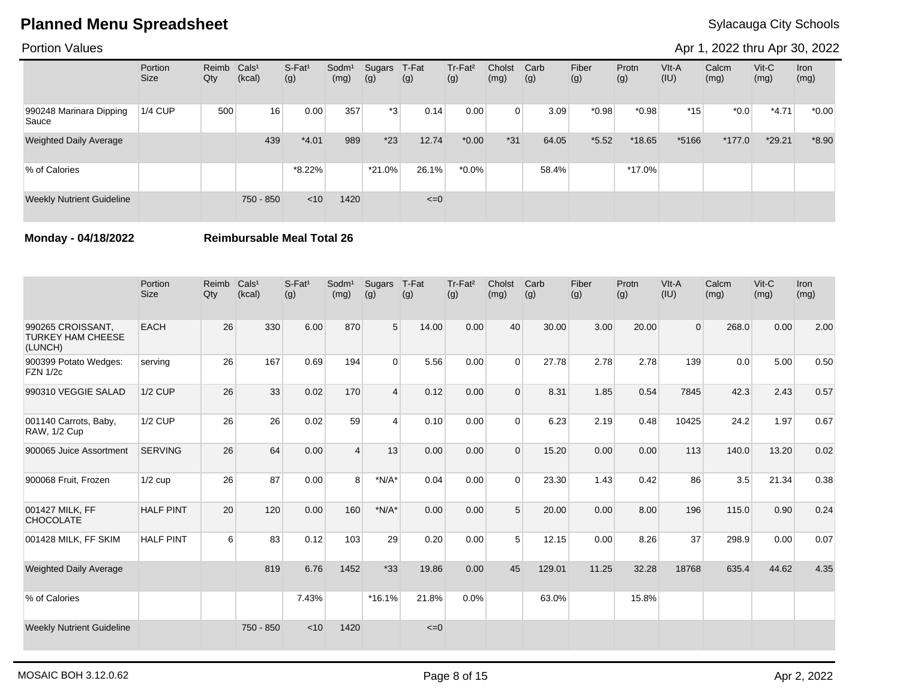### Portion Values

Apr 1, 2022 thru Apr 30, 2022

|                                  | Portion<br><b>Size</b> | Reimb Cals <sup>1</sup><br>Qty | (kcal)    | S-Fat <sup>1</sup><br>(g) | Sodm <sup>1</sup><br>(mg) | Sugars<br>(g) | T-Fat<br>(g) | Tr-Fat <sup>2</sup><br>(g) | Cholst<br>(mg) | Carb<br>(g) | Fiber<br>(g) | Protn<br>(g) | VIt-A<br>(IU) | Calcm<br>(mg) | $V$ it-C<br>(mg) | Iron<br>(mg) |
|----------------------------------|------------------------|--------------------------------|-----------|---------------------------|---------------------------|---------------|--------------|----------------------------|----------------|-------------|--------------|--------------|---------------|---------------|------------------|--------------|
| 990248 Marinara Dipping<br>Sauce | $1/4$ CUP              | 500                            | 16        | 0.00                      | 357                       | *3            | 0.14         | 0.00                       | $\Omega$       | 3.09        | $*0.98$      | $*0.98$      | $*15$         | $*0.0$        | $*4.71$          | $*0.00*$     |
| <b>Weighted Daily Average</b>    |                        |                                | 439       | $*4.01$                   | 989                       | $*23$         | 12.74        | $*0.00$                    | $*31$          | 64.05       | $*5.52$      | $*18.65$     | *5166         | $*177.0$      | *29.21           | $*8.90$      |
| % of Calories                    |                        |                                |           | $*8.22\%$                 |                           | $*21.0\%$     | 26.1%        | $*0.0\%$                   |                | 58.4%       |              | $*17.0\%$    |               |               |                  |              |
| <b>Weekly Nutrient Guideline</b> |                        |                                | 750 - 850 | < 10                      | 1420                      |               | $\leq=0$     |                            |                |             |              |              |               |               |                  |              |

**Monday - 04/18/2022 Reimbursable Meal Total 26**

|                                                          | Portion<br><b>Size</b> | Reimb<br>Qty | Cals <sup>1</sup><br>(kcal) | $S-Fat1$<br>(g) | Sodm <sup>1</sup><br>(mg) | Sugars<br>(g) | T-Fat<br>(g) | Tr-Fat <sup>2</sup><br>(g) | Cholst<br>(mg) | Carb<br>(g) | Fiber<br>(g) | Protn<br>(g) | VIt-A<br>(IU)  | Calcm<br>(mg) | Vit-C<br>(mg) | <b>Iron</b><br>(mg) |
|----------------------------------------------------------|------------------------|--------------|-----------------------------|-----------------|---------------------------|---------------|--------------|----------------------------|----------------|-------------|--------------|--------------|----------------|---------------|---------------|---------------------|
| 990265 CROISSANT.<br><b>TURKEY HAM CHEESE</b><br>(LUNCH) | <b>EACH</b>            | 26           | 330                         | 6.00            | 870                       | 5             | 14.00        | 0.00                       | 40             | 30.00       | 3.00         | 20.00        | $\overline{0}$ | 268.0         | 0.00          | 2.00                |
| 900399 Potato Wedges:<br><b>FZN 1/2c</b>                 | serving                | 26           | 167                         | 0.69            | 194                       | $\Omega$      | 5.56         | 0.00                       | $\Omega$       | 27.78       | 2.78         | 2.78         | 139            | 0.0           | 5.00          | 0.50                |
| 990310 VEGGIE SALAD                                      | <b>1/2 CUP</b>         | 26           | 33                          | 0.02            | 170                       | 4             | 0.12         | 0.00                       | $\Omega$       | 8.31        | 1.85         | 0.54         | 7845           | 42.3          | 2.43          | 0.57                |
| 001140 Carrots, Baby,<br>RAW, 1/2 Cup                    | <b>1/2 CUP</b>         | 26           | 26                          | 0.02            | 59                        | 4             | 0.10         | 0.00                       | $\Omega$       | 6.23        | 2.19         | 0.48         | 10425          | 24.2          | 1.97          | 0.67                |
| 900065 Juice Assortment                                  | <b>SERVING</b>         | 26           | 64                          | 0.00            | $\Delta$                  | 13            | 0.00         | 0.00                       | $\Omega$       | 15.20       | 0.00         | 0.00         | 113            | 140.0         | 13.20         | 0.02                |
| 900068 Fruit, Frozen                                     | $1/2$ cup              | 26           | 87                          | 0.00            | 8                         | $*N/A*$       | 0.04         | 0.00                       | $\Omega$       | 23.30       | 1.43         | 0.42         | 86             | 3.5           | 21.34         | 0.38                |
| 001427 MILK, FF<br><b>CHOCOLATE</b>                      | <b>HALF PINT</b>       | 20           | 120                         | 0.00            | 160                       | $*N/A*$       | 0.00         | 0.00                       | 5              | 20.00       | 0.00         | 8.00         | 196            | 115.0         | 0.90          | 0.24                |
| 001428 MILK, FF SKIM                                     | <b>HALF PINT</b>       | 6            | 83                          | 0.12            | 103                       | 29            | 0.20         | 0.00                       | 5              | 12.15       | 0.00         | 8.26         | 37             | 298.9         | 0.00          | 0.07                |
| <b>Weighted Daily Average</b>                            |                        |              | 819                         | 6.76            | 1452                      | $*33$         | 19.86        | 0.00                       | 45             | 129.01      | 11.25        | 32.28        | 18768          | 635.4         | 44.62         | 4.35                |
| % of Calories                                            |                        |              |                             | 7.43%           |                           | *16.1%        | 21.8%        | 0.0%                       |                | 63.0%       |              | 15.8%        |                |               |               |                     |
| <b>Weekly Nutrient Guideline</b>                         |                        |              | 750 - 850                   | < 10            | 1420                      |               | $\leq=0$     |                            |                |             |              |              |                |               |               |                     |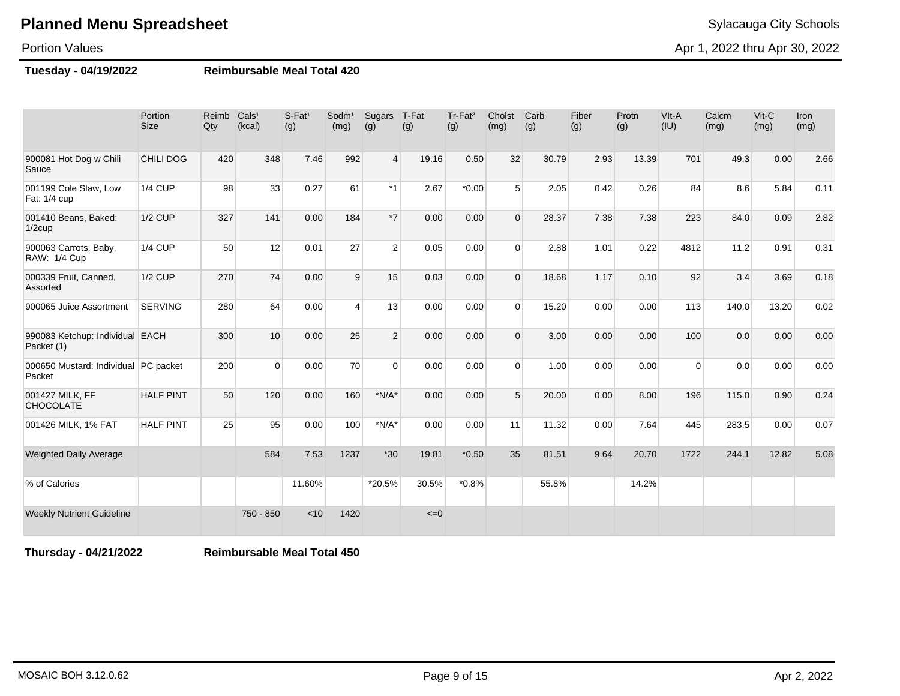## **Planned Menu Spreadsheet** Sylacauga City Schools **Planned Menu Sylacauga City Schools**

#### Portion Values

Apr 1, 2022 thru Apr 30, 2022

#### **Tuesday - 04/19/2022 Reimbursable Meal Total 420**

|                                                | Portion<br><b>Size</b> | Reimb<br>Qty | Cals <sup>1</sup><br>(kcal) | S-Fat <sup>1</sup><br>(g) | Sodm <sup>1</sup><br>(mg) | Sugars<br>(g)  | T-Fat<br>(g) | Tr-Fat <sup>2</sup><br>(g) | Cholst<br>(mg) | Carb<br>(g) | Fiber<br>(g) | Protn<br>(g) | VIt-A<br>(IU) | Calcm<br>(mg) | Vit-C<br>(mg) | Iron<br>(mg) |
|------------------------------------------------|------------------------|--------------|-----------------------------|---------------------------|---------------------------|----------------|--------------|----------------------------|----------------|-------------|--------------|--------------|---------------|---------------|---------------|--------------|
| 900081 Hot Dog w Chili<br>Sauce                | <b>CHILI DOG</b>       | 420          | 348                         | 7.46                      | 992                       | $\overline{4}$ | 19.16        | 0.50                       | 32             | 30.79       | 2.93         | 13.39        | 701           | 49.3          | 0.00          | 2.66         |
| 001199 Cole Slaw, Low<br>Fat: 1/4 cup          | <b>1/4 CUP</b>         | 98           | 33                          | 0.27                      | 61                        | $*1$           | 2.67         | $*0.00$                    | 5 <sup>5</sup> | 2.05        | 0.42         | 0.26         | 84            | 8.6           | 5.84          | 0.11         |
| 001410 Beans, Baked:<br>$1/2$ cup              | <b>1/2 CUP</b>         | 327          | 141                         | 0.00                      | 184                       | $*7$           | 0.00         | 0.00                       | $\Omega$       | 28.37       | 7.38         | 7.38         | 223           | 84.0          | 0.09          | 2.82         |
| 900063 Carrots, Baby,<br>RAW: 1/4 Cup          | <b>1/4 CUP</b>         | 50           | 12                          | 0.01                      | 27                        | $\overline{2}$ | 0.05         | 0.00                       | $\Omega$       | 2.88        | 1.01         | 0.22         | 4812          | 11.2          | 0.91          | 0.31         |
| 000339 Fruit, Canned,<br>Assorted              | <b>1/2 CUP</b>         | 270          | 74                          | 0.00                      | 9                         | 15             | 0.03         | 0.00                       | $\Omega$       | 18.68       | 1.17         | 0.10         | 92            | 3.4           | 3.69          | 0.18         |
| 900065 Juice Assortment                        | <b>SERVING</b>         | 280          | 64                          | 0.00                      | $\overline{4}$            | 13             | 0.00         | 0.00                       | $\Omega$       | 15.20       | 0.00         | 0.00         | 113           | 140.0         | 13.20         | 0.02         |
| 990083 Ketchup: Individual EACH<br>Packet (1)  |                        | 300          | 10                          | 0.00                      | 25                        | 2              | 0.00         | 0.00                       | $\Omega$       | 3.00        | 0.00         | 0.00         | 100           | 0.0           | 0.00          | 0.00         |
| 000650 Mustard: Individual PC packet<br>Packet |                        | 200          | $\Omega$                    | 0.00                      | 70                        | $\Omega$       | 0.00         | 0.00                       | $\Omega$       | 1.00        | 0.00         | 0.00         | $\Omega$      | 0.0           | 0.00          | 0.00         |
| 001427 MILK, FF<br><b>CHOCOLATE</b>            | <b>HALF PINT</b>       | 50           | 120                         | 0.00                      | 160                       | $*N/A*$        | 0.00         | 0.00                       | 5              | 20.00       | 0.00         | 8.00         | 196           | 115.0         | 0.90          | 0.24         |
| 001426 MILK, 1% FAT                            | <b>HALF PINT</b>       | 25           | 95                          | 0.00                      | 100                       | $*N/A*$        | 0.00         | 0.00                       | 11             | 11.32       | 0.00         | 7.64         | 445           | 283.5         | 0.00          | 0.07         |
| <b>Weighted Daily Average</b>                  |                        |              | 584                         | 7.53                      | 1237                      | $*30$          | 19.81        | $*0.50$                    | 35             | 81.51       | 9.64         | 20.70        | 1722          | 244.1         | 12.82         | 5.08         |
| % of Calories                                  |                        |              |                             | 11.60%                    |                           | *20.5%         | 30.5%        | $*0.8%$                    |                | 55.8%       |              | 14.2%        |               |               |               |              |
| <b>Weekly Nutrient Guideline</b>               |                        |              | 750 - 850                   | < 10                      | 1420                      |                | $\leq=0$     |                            |                |             |              |              |               |               |               |              |

**Thursday - 04/21/2022 Reimbursable Meal Total 450**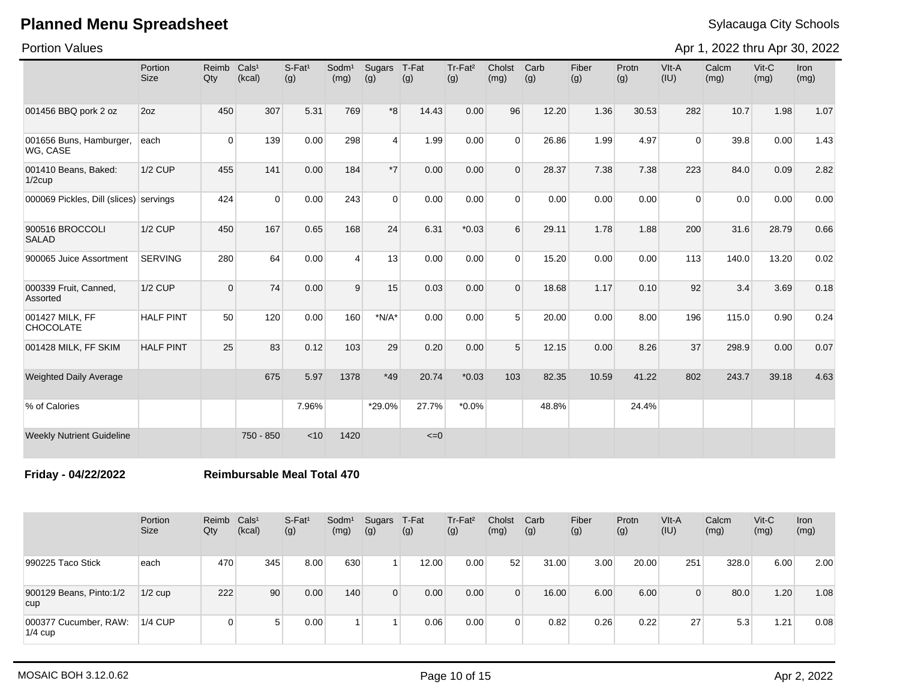Portion Values

Apr 1, 2022 thru Apr 30, 2022

|                                        | Portion<br>Size  | Reimb<br>Qty   | Cals <sup>1</sup><br>(kcal) | S-Fat <sup>1</sup><br>(g) | Sodm <sup>1</sup><br>(mg) | Sugars<br>(g)  | T-Fat<br>(g) | Tr-Fat <sup>2</sup><br>(g) | Cholst<br>(mg) | Carb<br>(g) | Fiber<br>(g) | Protn<br>(g) | VIt-A<br>(IU)  | Calcm<br>(mg) | Vit-C<br>(mg) | Iron<br>(mg) |
|----------------------------------------|------------------|----------------|-----------------------------|---------------------------|---------------------------|----------------|--------------|----------------------------|----------------|-------------|--------------|--------------|----------------|---------------|---------------|--------------|
| 001456 BBQ pork 2 oz                   | 20Z              | 450            | 307                         | 5.31                      | 769                       | $*8$           | 14.43        | 0.00                       | 96             | 12.20       | 1.36         | 30.53        | 282            | 10.7          | 1.98          | 1.07         |
| 001656 Buns, Hamburger,<br>WG, CASE    | each             | $\overline{0}$ | 139                         | 0.00                      | 298                       | $\overline{4}$ | 1.99         | 0.00                       | $\Omega$       | 26.86       | 1.99         | 4.97         | $\overline{0}$ | 39.8          | 0.00          | 1.43         |
| 001410 Beans, Baked:<br>$1/2$ cup      | <b>1/2 CUP</b>   | 455            | 141                         | 0.00                      | 184                       | $*7$           | 0.00         | 0.00                       | $\Omega$       | 28.37       | 7.38         | 7.38         | 223            | 84.0          | 0.09          | 2.82         |
| 000069 Pickles, Dill (slices) servings |                  | 424            | $\Omega$                    | 0.00                      | 243                       | $\Omega$       | 0.00         | 0.00                       | $\Omega$       | 0.00        | 0.00         | 0.00         | $\Omega$       | 0.0           | 0.00          | 0.00         |
| 900516 BROCCOLI<br><b>SALAD</b>        | <b>1/2 CUP</b>   | 450            | 167                         | 0.65                      | 168                       | 24             | 6.31         | $*0.03$                    | 6              | 29.11       | 1.78         | 1.88         | 200            | 31.6          | 28.79         | 0.66         |
| 900065 Juice Assortment                | <b>SERVING</b>   | 280            | 64                          | 0.00                      | $\overline{4}$            | 13             | 0.00         | 0.00                       | $\Omega$       | 15.20       | 0.00         | 0.00         | 113            | 140.0         | 13.20         | 0.02         |
| 000339 Fruit, Canned,<br>Assorted      | <b>1/2 CUP</b>   | $\overline{0}$ | 74                          | 0.00                      | 9                         | 15             | 0.03         | 0.00                       | $\Omega$       | 18.68       | 1.17         | 0.10         | 92             | 3.4           | 3.69          | 0.18         |
| 001427 MILK, FF<br><b>CHOCOLATE</b>    | <b>HALF PINT</b> | 50             | 120                         | 0.00                      | 160                       | $*N/A*$        | 0.00         | 0.00                       | 5 <sup>5</sup> | 20.00       | 0.00         | 8.00         | 196            | 115.0         | 0.90          | 0.24         |
| 001428 MILK, FF SKIM                   | <b>HALF PINT</b> | 25             | 83                          | 0.12                      | 103                       | 29             | 0.20         | 0.00                       | 5              | 12.15       | 0.00         | 8.26         | 37             | 298.9         | 0.00          | 0.07         |
| <b>Weighted Daily Average</b>          |                  |                | 675                         | 5.97                      | 1378                      | $*49$          | 20.74        | $*0.03$                    | 103            | 82.35       | 10.59        | 41.22        | 802            | 243.7         | 39.18         | 4.63         |
| % of Calories                          |                  |                |                             | 7.96%                     |                           | *29.0%         | 27.7%        | $*0.0\%$                   |                | 48.8%       |              | 24.4%        |                |               |               |              |
| <b>Weekly Nutrient Guideline</b>       |                  |                | 750 - 850                   | < 10                      | 1420                      |                | $\leq=0$     |                            |                |             |              |              |                |               |               |              |

**Friday - 04/22/2022 Reimbursable Meal Total 470**

|                                       | Portion<br>Size | Reimb Cals <sup>1</sup><br>Qty | (kcal)          | $S-Fat1$<br>(g) | Sodm <sup>1</sup><br>(mg) | Sugars<br>(g)  | T-Fat<br>(g) | Tr-Fat <sup>2</sup><br>(g) | Cholst<br>(mg) | Carb<br>(g) | Fiber<br>(g) | Protn<br>(g) | VIt-A<br>(IU) | Calcm<br>(mg) | $V$ it-C<br>(mg) | Iron<br>(mg) |
|---------------------------------------|-----------------|--------------------------------|-----------------|-----------------|---------------------------|----------------|--------------|----------------------------|----------------|-------------|--------------|--------------|---------------|---------------|------------------|--------------|
| 990225 Taco Stick                     | each            | 470                            | 345             | 8.00            | 630                       |                | 12.00        | 0.00                       | 52             | 31.00       | 3.00         | 20.00        | 251           | 328.0         | 6.00             | 2.00         |
| 900129 Beans, Pinto:1/2<br><b>CUD</b> | $1/2$ cup       | 222                            | 90 <sub>1</sub> | 0.00            | 140                       | $\overline{0}$ | 0.00         | 0.00                       | $\Omega$       | 16.00       | 6.00         | 6.00         | 0             | 80.0          | 1.20             | 1.08         |
| 000377 Cucumber, RAW:<br>$1/4$ cup    | $1/4$ CUP       | 0                              |                 | 0.00            |                           |                | 0.06         | 0.00                       |                | 0.82        | 0.26         | 0.22         | 27            | 5.3           | 1.21             | 0.08         |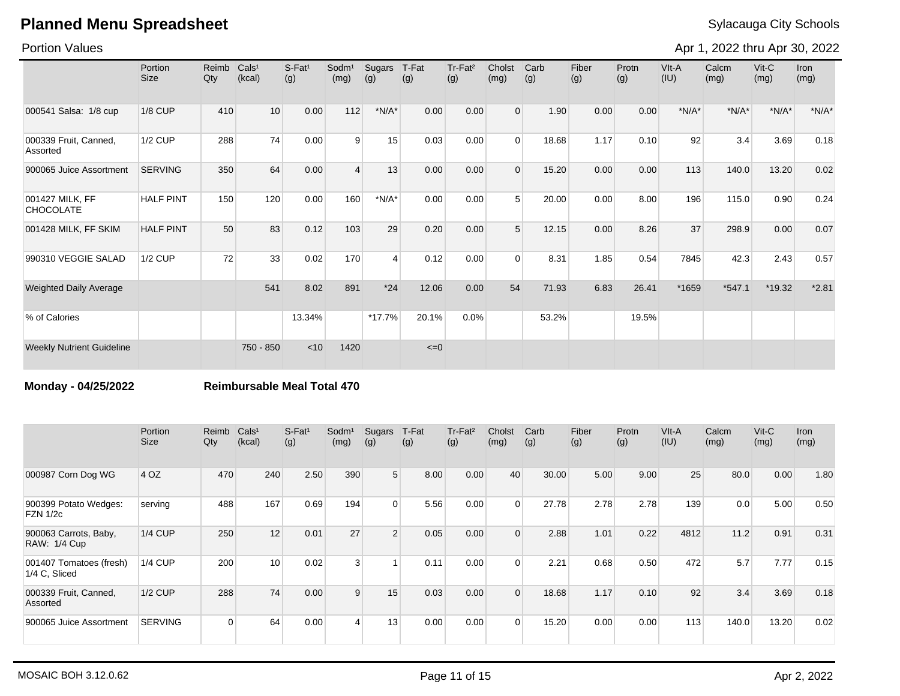### Portion Values

Apr 1, 2022 thru Apr 30, 2022

|                                     | Portion<br><b>Size</b> | Reimb<br>Qty | Cals <sup>1</sup><br>(kcal) | $S-Fat1$<br>(g) | Sodm <sup>1</sup><br>(mg) | Sugars<br>(g)  | T-Fat<br>(g) | Tr-Fat <sup>2</sup><br>(g) | Cholst<br>(mg) | Carb<br>(g) | Fiber<br>(g) | Protn<br>(g) | VIt-A<br>(IU) | Calcm<br>(mg) | Vit-C<br>(mg) | Iron<br>(mg) |
|-------------------------------------|------------------------|--------------|-----------------------------|-----------------|---------------------------|----------------|--------------|----------------------------|----------------|-------------|--------------|--------------|---------------|---------------|---------------|--------------|
| 000541 Salsa: 1/8 cup               | <b>1/8 CUP</b>         | 410          | 10                          | 0.00            | 112                       | $*N/A*$        | 0.00         | 0.00                       | $\overline{0}$ | 1.90        | 0.00         | 0.00         | $*N/A*$       | $*N/A*$       | $*N/A*$       | $*N/A*$      |
| 000339 Fruit, Canned,<br>Assorted   | <b>1/2 CUP</b>         | 288          | 74                          | 0.00            | 9                         | 15             | 0.03         | 0.00                       | $\Omega$       | 18.68       | 1.17         | 0.10         | 92            | 3.4           | 3.69          | 0.18         |
| 900065 Juice Assortment             | <b>SERVING</b>         | 350          | 64                          | 0.00            | $\overline{4}$            | 13             | 0.00         | 0.00                       | $\Omega$       | 15.20       | 0.00         | 0.00         | 113           | 140.0         | 13.20         | 0.02         |
| 001427 MILK, FF<br><b>CHOCOLATE</b> | <b>HALF PINT</b>       | 150          | 120                         | 0.00            | 160                       | $*N/A*$        | 0.00         | 0.00                       | $5^{\circ}$    | 20.00       | 0.00         | 8.00         | 196           | 115.0         | 0.90          | 0.24         |
| 001428 MILK, FF SKIM                | <b>HALF PINT</b>       | 50           | 83                          | 0.12            | 103                       | 29             | 0.20         | 0.00                       | $5^{\circ}$    | 12.15       | 0.00         | 8.26         | 37            | 298.9         | 0.00          | 0.07         |
| 990310 VEGGIE SALAD                 | <b>1/2 CUP</b>         | 72           | 33                          | 0.02            | 170                       | $\overline{4}$ | 0.12         | 0.00                       | $\Omega$       | 8.31        | 1.85         | 0.54         | 7845          | 42.3          | 2.43          | 0.57         |
| <b>Weighted Daily Average</b>       |                        |              | 541                         | 8.02            | 891                       | $*24$          | 12.06        | 0.00                       | 54             | 71.93       | 6.83         | 26.41        | *1659         | $*547.1$      | $*19.32$      | $*2.81$      |
| % of Calories                       |                        |              |                             | 13.34%          |                           | $*17.7%$       | 20.1%        | 0.0%                       |                | 53.2%       |              | 19.5%        |               |               |               |              |
| <b>Weekly Nutrient Guideline</b>    |                        |              | 750 - 850                   | < 10            | 1420                      |                | $\leq=0$     |                            |                |             |              |              |               |               |               |              |

**Monday - 04/25/2022 Reimbursable Meal Total 470**

|                                              | Portion<br>Size | Reimb<br>Qty   | Cals <sup>1</sup><br>(kcal) | $S$ -Fat <sup>1</sup><br>(g) | Sodm <sup>1</sup><br>(mg) | Sugars<br>(g)  | T-Fat<br>(g) | $Tr-Fat2$<br>(g) | Cholst<br>(mg) | Carb<br>(g) | Fiber<br>(g) | Protn<br>(g) | VIt-A<br>(IU) | Calcm<br>(mg) | $V$ it-C<br>(mg) | <b>Iron</b><br>(mg) |
|----------------------------------------------|-----------------|----------------|-----------------------------|------------------------------|---------------------------|----------------|--------------|------------------|----------------|-------------|--------------|--------------|---------------|---------------|------------------|---------------------|
| 000987 Corn Dog WG                           | 4OZ             | 470            | 240                         | 2.50                         | 390                       | 5 <sup>5</sup> | 8.00         | 0.00             | 40             | 30.00       | 5.00         | 9.00         | 25            | 80.0          | 0.00             | 1.80                |
| 900399 Potato Wedges:<br><b>FZN 1/2c</b>     | serving         | 488            | 167                         | 0.69                         | 194                       | $\Omega$       | 5.56         | 0.00             | $\cap$         | 27.78       | 2.78         | 2.78         | 139           | 0.0           | 5.00             | 0.50                |
| 900063 Carrots, Baby,<br><b>RAW: 1/4 Cup</b> | $1/4$ CUP       | 250            | 12                          | 0.01                         | 27                        | $\overline{2}$ | 0.05         | 0.00             | $\Omega$       | 2.88        | 1.01         | 0.22         | 4812          | 11.2          | 0.91             | 0.31                |
| 001407 Tomatoes (fresh)<br>1/4 C. Sliced     | <b>1/4 CUP</b>  | 200            | 10                          | 0.02                         | $\mathbf{3}$              |                | 0.11         | 0.00             | $\Omega$       | 2.21        | 0.68         | 0.50         | 472           | 5.7           | 7.77             | 0.15                |
| 000339 Fruit, Canned,<br>Assorted            | <b>1/2 CUP</b>  | 288            | 74                          | 0.00                         | 9                         | 15             | 0.03         | 0.00             | $\Omega$       | 18.68       | 1.17         | 0.10         | 92            | 3.4           | 3.69             | 0.18                |
| 900065 Juice Assortment                      | <b>SERVING</b>  | $\overline{0}$ | 64                          | 0.00                         | $\overline{4}$            | 13             | 0.00         | 0.00             | $\Omega$       | 15.20       | 0.00         | 0.00         | 113           | 140.0         | 13.20            | 0.02                |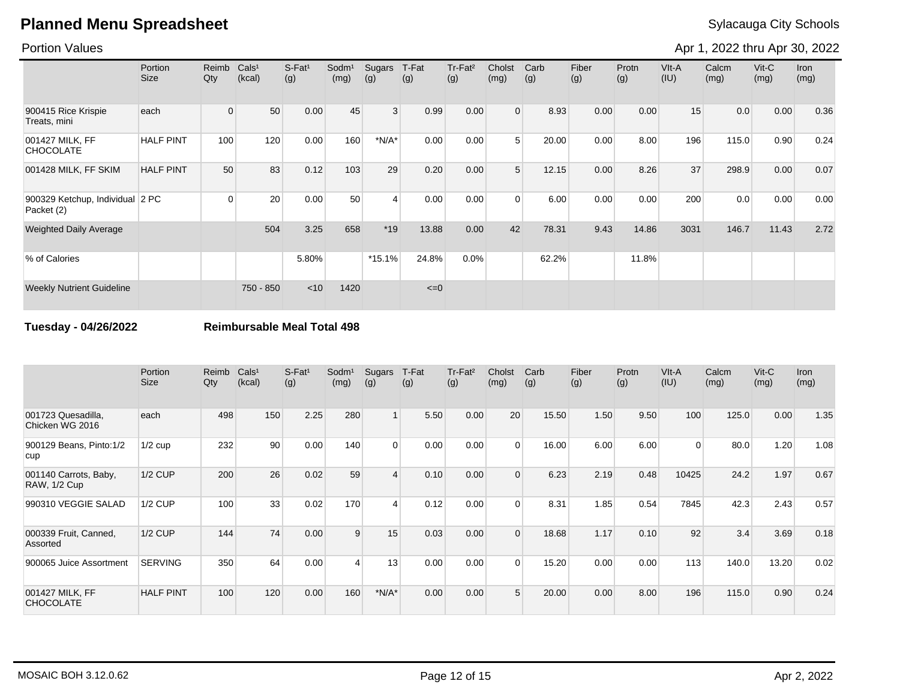### Portion Values

Apr 1, 2022 thru Apr 30, 2022

|                                               | Portion<br><b>Size</b> | Reimb<br>Qty   | Cals <sup>1</sup><br>(kcal) | S-Fat <sup>1</sup><br>(g) | Sodm <sup>1</sup><br>(mg) | Sugars<br>(g)  | T-Fat<br>(g) | Tr-Fat <sup>2</sup><br>(g) | Cholst<br>(mg) | Carb<br>(g) | Fiber<br>(g) | Protn<br>(g) | VIt-A<br>(IU) | Calcm<br>(mg) | $V$ it-C<br>(mg) | <b>Iron</b><br>(mg) |
|-----------------------------------------------|------------------------|----------------|-----------------------------|---------------------------|---------------------------|----------------|--------------|----------------------------|----------------|-------------|--------------|--------------|---------------|---------------|------------------|---------------------|
| 900415 Rice Krispie<br>Treats, mini           | each                   | $\overline{0}$ | 50                          | 0.00                      | 45                        | $\mathbf{3}$   | 0.99         | 0.00                       | $\overline{0}$ | 8.93        | 0.00         | 0.00         | 15            | 0.0           | 0.00             | 0.36                |
| 001427 MILK, FF<br><b>CHOCOLATE</b>           | <b>HALF PINT</b>       | 100            | 120                         | 0.00                      | 160                       | $*N/A*$        | 0.00         | 0.00                       | 5              | 20.00       | 0.00         | 8.00         | 196           | 115.0         | 0.90             | 0.24                |
| 001428 MILK, FF SKIM                          | <b>HALF PINT</b>       | 50             | 83                          | 0.12                      | 103                       | 29             | 0.20         | 0.00                       | 5 <sup>1</sup> | 12.15       | 0.00         | 8.26         | 37            | 298.9         | 0.00             | 0.07                |
| 900329 Ketchup, Individual 2 PC<br>Packet (2) |                        | $\Omega$       | 20                          | 0.00                      | 50                        | $\overline{4}$ | 0.00         | 0.00                       | $\Omega$       | 6.00        | 0.00         | 0.00         | 200           | 0.0           | 0.00             | 0.00                |
| <b>Weighted Daily Average</b>                 |                        |                | 504                         | 3.25                      | 658                       | $*19$          | 13.88        | 0.00                       | 42             | 78.31       | 9.43         | 14.86        | 3031          | 146.7         | 11.43            | 2.72                |
| % of Calories                                 |                        |                |                             | 5.80%                     |                           | $*15.1%$       | 24.8%        | 0.0%                       |                | 62.2%       |              | 11.8%        |               |               |                  |                     |
| <b>Weekly Nutrient Guideline</b>              |                        |                | 750 - 850                   | $<$ 10                    | 1420                      |                | $\leq=0$     |                            |                |             |              |              |               |               |                  |                     |

### **Tuesday - 04/26/2022 Reimbursable Meal Total 498**

|                                              | Portion<br><b>Size</b> | Reimb<br>Qty | Cals <sup>1</sup><br>(kcal) | S-Fat <sup>1</sup><br>(g) | Sodm <sup>1</sup><br>(mg) | Sugars<br>(g)           | T-Fat<br>(g) | Tr-Fat <sup>2</sup><br>(g) | Cholst<br>(mg) | Carb<br>(g) | Fiber<br>(g) | Protn<br>(g) | VIt-A<br>(IU)  | Calcm<br>(mg) | $V$ it-C<br>(mg) | <b>Iron</b><br>(mg) |
|----------------------------------------------|------------------------|--------------|-----------------------------|---------------------------|---------------------------|-------------------------|--------------|----------------------------|----------------|-------------|--------------|--------------|----------------|---------------|------------------|---------------------|
| 001723 Quesadilla,<br>Chicken WG 2016        | each                   | 498          | 150                         | 2.25                      | 280                       |                         | 5.50         | 0.00                       | 20             | 15.50       | 1.50         | 9.50         | 100            | 125.0         | 0.00             | 1.35                |
| 900129 Beans, Pinto:1/2<br>cup               | $1/2$ cup              | 232          | 90                          | 0.00                      | 140                       | $\mathbf 0$             | 0.00         | 0.00                       | $\Omega$       | 16.00       | 6.00         | 6.00         | $\overline{0}$ | 80.0          | 1.20             | 1.08                |
| 001140 Carrots, Baby,<br><b>RAW, 1/2 Cup</b> | <b>1/2 CUP</b>         | 200          | 26                          | 0.02                      | 59                        | $\overline{4}$          | 0.10         | 0.00                       | $\Omega$       | 6.23        | 2.19         | 0.48         | 10425          | 24.2          | 1.97             | 0.67                |
| 990310 VEGGIE SALAD                          | $1/2$ CUP              | 100          | 33                          | 0.02                      | 170                       | $\overline{\mathbf{A}}$ | 0.12         | 0.00                       | $\Omega$       | 8.31        | 1.85         | 0.54         | 7845           | 42.3          | 2.43             | 0.57                |
| 000339 Fruit, Canned,<br>Assorted            | <b>1/2 CUP</b>         | 144          | 74                          | 0.00                      | 9                         | 15                      | 0.03         | 0.00                       | $\Omega$       | 18.68       | 1.17         | 0.10         | 92             | 3.4           | 3.69             | 0.18                |
| 900065 Juice Assortment                      | <b>SERVING</b>         | 350          | 64                          | 0.00                      | $\boldsymbol{\Delta}$     | 13                      | 0.00         | 0.00                       | $\Omega$       | 15.20       | 0.00         | 0.00         | 113            | 140.0         | 13.20            | 0.02                |
| 001427 MILK, FF<br><b>CHOCOLATE</b>          | <b>HALF PINT</b>       | 100          | 120                         | 0.00                      | 160                       | $*N/A*$                 | 0.00         | 0.00                       | 5              | 20.00       | 0.00         | 8.00         | 196            | 115.0         | 0.90             | 0.24                |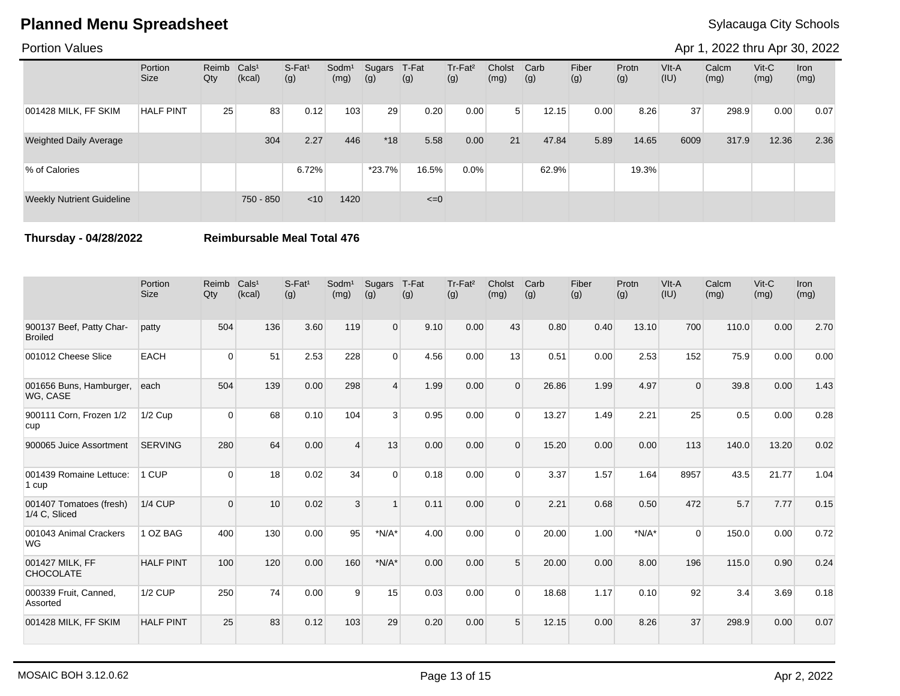### Portion Values

Apr 1, 2022 thru Apr 30, 2022

|                                  | Portion<br><b>Size</b> | Reimb Cals <sup>1</sup><br>Qty | (kcal)    | $S-Fat1$<br>(g) | Sodm <sup>1</sup><br>(mg) | Sugars<br>(g) | T-Fat<br>(g) | Tr-Fat <sup>2</sup><br>(g) | Cholst<br>(mg) | Carb<br>(g) | Fiber<br>(g) | Protn<br>(g) | VIt-A<br>(IU) | Calcm<br>(mg) | $V$ it-C<br>(mg) | Iron<br>(mg) |
|----------------------------------|------------------------|--------------------------------|-----------|-----------------|---------------------------|---------------|--------------|----------------------------|----------------|-------------|--------------|--------------|---------------|---------------|------------------|--------------|
| 001428 MILK, FF SKIM             | <b>HALF PINT</b>       | 25                             | 83        | 0.12            | 103                       | 29            | 0.20         | 0.00                       | 5              | 12.15       | 0.00         | 8.26         | 37            | 298.9         | 0.00             | 0.07         |
| <b>Weighted Daily Average</b>    |                        |                                | 304       | 2.27            | 446                       | $*18$         | 5.58         | 0.00                       | 21             | 47.84       | 5.89         | 14.65        | 6009          | 317.9         | 12.36            | 2.36         |
| % of Calories                    |                        |                                |           | 6.72%           |                           | $*23.7%$      | 16.5%        | 0.0%                       |                | 62.9%       |              | 19.3%        |               |               |                  |              |
| <b>Weekly Nutrient Guideline</b> |                        |                                | 750 - 850 | < 10            | 1420                      |               | $\leq=0$     |                            |                |             |              |              |               |               |                  |              |

**Thursday - 04/28/2022 Reimbursable Meal Total 476**

|                                            | Portion<br><b>Size</b> | Reimb<br>Qty | Cals <sup>1</sup><br>(kcal) | $S-Fat1$<br>(g) | Sodm <sup>1</sup><br>(mg) | Sugars<br>(g) | T-Fat<br>(g) | Tr-Fat <sup>2</sup><br>(g) | Cholst<br>(mg) | Carb<br>(g) | Fiber<br>(g) | Protn<br>(g) | VIt-A<br>(IU) | Calcm<br>(mg) | $Vit-C$<br>(mg) | <b>Iron</b><br>(mg) |
|--------------------------------------------|------------------------|--------------|-----------------------------|-----------------|---------------------------|---------------|--------------|----------------------------|----------------|-------------|--------------|--------------|---------------|---------------|-----------------|---------------------|
| 900137 Beef, Patty Char-<br><b>Broiled</b> | patty                  | 504          | 136                         | 3.60            | 119                       | $\Omega$      | 9.10         | 0.00                       | 43             | 0.80        | 0.40         | 13.10        | 700           | 110.0         | 0.00            | 2.70                |
| 001012 Cheese Slice                        | <b>EACH</b>            | $\Omega$     | 51                          | 2.53            | 228                       | $\Omega$      | 4.56         | 0.00                       | 13             | 0.51        | 0.00         | 2.53         | 152           | 75.9          | 0.00            | 0.00                |
| 001656 Buns, Hamburger,<br>WG, CASE        | each                   | 504          | 139                         | 0.00            | 298                       | 4             | 1.99         | 0.00                       | $\Omega$       | 26.86       | 1.99         | 4.97         | $\Omega$      | 39.8          | 0.00            | 1.43                |
| 900111 Corn, Frozen 1/2<br>cup             | $1/2$ Cup              | $\Omega$     | 68                          | 0.10            | 104                       | 3             | 0.95         | 0.00                       | $\Omega$       | 13.27       | 1.49         | 2.21         | 25            | 0.5           | 0.00            | 0.28                |
| 900065 Juice Assortment                    | <b>SERVING</b>         | 280          | 64                          | 0.00            | $\boldsymbol{\Lambda}$    | 13            | 0.00         | 0.00                       | $\Omega$       | 15.20       | 0.00         | 0.00         | 113           | 140.0         | 13.20           | 0.02                |
| 001439 Romaine Lettuce:<br>1 cup           | 1 CUP                  | $\Omega$     | 18                          | 0.02            | 34                        | $\Omega$      | 0.18         | 0.00                       | $\Omega$       | 3.37        | 1.57         | 1.64         | 8957          | 43.5          | 21.77           | 1.04                |
| 001407 Tomatoes (fresh)<br>1/4 C, Sliced   | $1/4$ CUP              | $\Omega$     | 10                          | 0.02            | 3                         |               | 0.11         | 0.00                       | $\Omega$       | 2.21        | 0.68         | 0.50         | 472           | 5.7           | 7.77            | 0.15                |
| 001043 Animal Crackers<br><b>WG</b>        | 1 OZ BAG               | 400          | 130                         | 0.00            | 95                        | $*N/A*$       | 4.00         | 0.00                       | $\Omega$       | 20.00       | 1.00         | $*N/A*$      | $\Omega$      | 150.0         | 0.00            | 0.72                |
| 001427 MILK, FF<br><b>CHOCOLATE</b>        | <b>HALF PINT</b>       | 100          | 120                         | 0.00            | 160                       | $*N/A*$       | 0.00         | 0.00                       | 5              | 20.00       | 0.00         | 8.00         | 196           | 115.0         | 0.90            | 0.24                |
| 000339 Fruit, Canned,<br>Assorted          | <b>1/2 CUP</b>         | 250          | 74                          | 0.00            | 9                         | 15            | 0.03         | 0.00                       | $\Omega$       | 18.68       | 1.17         | 0.10         | 92            | 3.4           | 3.69            | 0.18                |
| 001428 MILK, FF SKIM                       | <b>HALF PINT</b>       | 25           | 83                          | 0.12            | 103                       | 29            | 0.20         | 0.00                       | 5              | 12.15       | 0.00         | 8.26         | 37            | 298.9         | 0.00            | 0.07                |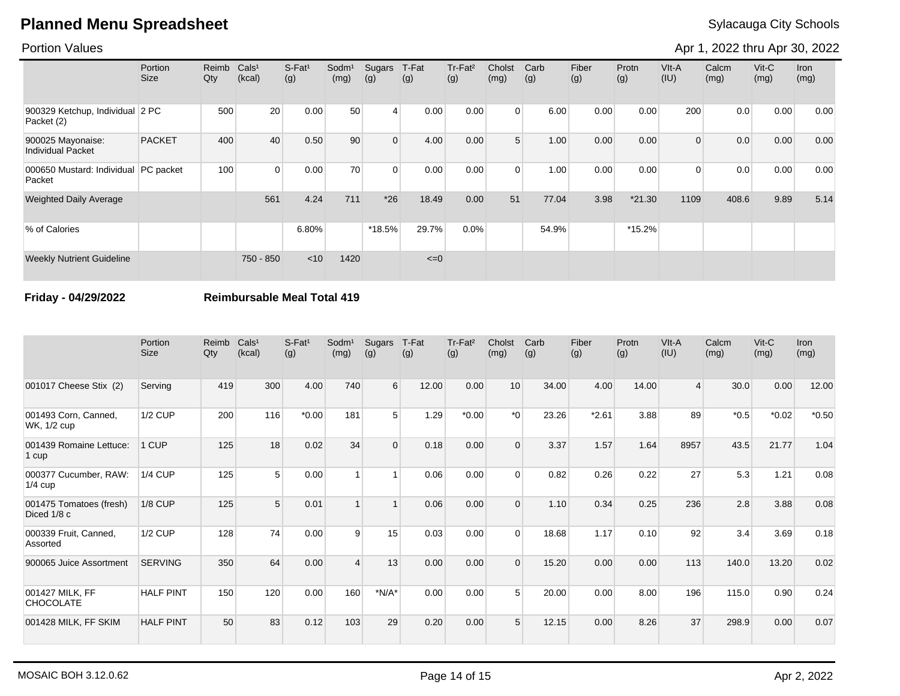### Portion Values

Apr 1, 2022 thru Apr 30, 2022

|                                               | <b>Portion</b><br>Size | Reimb<br>Qty | Cals <sup>1</sup><br>(kcal) | $S-Fat1$<br>(g) | Sodm <sup>1</sup><br>(mg) | Sugars<br>(g)  | T-Fat<br>(g) | Tr-Fat <sup>2</sup><br>(g) | Cholst<br>(mg) | Carb<br>(g) | Fiber<br>(g) | Protn<br>(g) | VIt-A<br>(IU)  | Calcm<br>(mg) | $V$ it-C<br>(mg) | Iron<br>(mg) |
|-----------------------------------------------|------------------------|--------------|-----------------------------|-----------------|---------------------------|----------------|--------------|----------------------------|----------------|-------------|--------------|--------------|----------------|---------------|------------------|--------------|
| 900329 Ketchup, Individual 2 PC<br>Packet (2) |                        | 500          | 20                          | 0.00            | 50                        | 4              | 0.00         | 0.00                       | $\Omega$       | 6.00        | 0.00         | 0.00         | 200            | 0.0           | 0.00             | 0.00         |
| 900025 Mayonaise:<br><b>Individual Packet</b> | <b>PACKET</b>          | 400          | 40                          | 0.50            | 90                        | $\overline{0}$ | 4.00         | 0.00                       | 5 <sup>1</sup> | 1.00        | 0.00         | 0.00         | $\overline{0}$ | 0.0           | 0.00             | 0.00         |
| 000650 Mustard: Individual<br>Packet          | PC packet              | 100          | $\Omega$                    | 0.00            | 70                        | $\Omega$       | 0.00         | 0.00                       | $\Omega$       | 1.00        | 0.00         | 0.00         | $\overline{0}$ | 0.0           | 0.00             | 0.00         |
| <b>Weighted Daily Average</b>                 |                        |              | 561                         | 4.24            | 711                       | $*26$          | 18.49        | 0.00                       | 51             | 77.04       | 3.98         | $*21.30$     | 1109           | 408.6         | 9.89             | 5.14         |
| % of Calories                                 |                        |              |                             | 6.80%           |                           | $*18.5%$       | 29.7%        | 0.0%                       |                | 54.9%       |              | *15.2%       |                |               |                  |              |
| <b>Weekly Nutrient Guideline</b>              |                        |              | 750 - 850                   | $<$ 10          | 1420                      |                | $\leq=0$     |                            |                |             |              |              |                |               |                  |              |

### **Friday - 04/29/2022 Reimbursable Meal Total 419**

|                                        | Portion<br><b>Size</b> | Reimb<br>Qty | Cals <sup>1</sup><br>(kcal) | S-Fat <sup>1</sup><br>(g) | Sodm <sup>1</sup><br>(mg) | Sugars<br>(g)  | T-Fat<br>(g) | Tr-Fat <sup>2</sup><br>(g) | Cholst<br>(mg) | Carb<br>(g) | Fiber<br>(g) | Protn<br>(g) | VIt-A<br>(IU)  | Calcm<br>(mg) | $V$ it-C<br>(mg) | Iron<br>(mg) |
|----------------------------------------|------------------------|--------------|-----------------------------|---------------------------|---------------------------|----------------|--------------|----------------------------|----------------|-------------|--------------|--------------|----------------|---------------|------------------|--------------|
| 001017 Cheese Stix (2)                 | Serving                | 419          | 300                         | 4.00                      | 740                       | 6              | 12.00        | 0.00                       | 10             | 34.00       | 4.00         | 14.00        | $\overline{4}$ | 30.0          | 0.00             | 12.00        |
| 001493 Corn, Canned,<br>WK, 1/2 cup    | <b>1/2 CUP</b>         | 200          | 116                         | $*0.00$                   | 181                       | 5 <sup>5</sup> | 1.29         | $*0.00$                    | $*$ $\cap$     | 23.26       | $*2.61$      | 3.88         | 89             | $*0.5$        | $*0.02$          | $*0.50$      |
| 001439 Romaine Lettuce:<br>1 cup       | 1 CUP                  | 125          | 18                          | 0.02                      | 34                        | $\Omega$       | 0.18         | 0.00                       | $\Omega$       | 3.37        | 1.57         | 1.64         | 8957           | 43.5          | 21.77            | 1.04         |
| 000377 Cucumber, RAW:<br>$1/4$ cup     | <b>1/4 CUP</b>         | 125          | 5                           | 0.00                      |                           |                | 0.06         | 0.00                       | $\Omega$       | 0.82        | 0.26         | 0.22         | 27             | 5.3           | 1.21             | 0.08         |
| 001475 Tomatoes (fresh)<br>Diced 1/8 c | <b>1/8 CUP</b>         | 125          | 5                           | 0.01                      |                           | $\overline{A}$ | 0.06         | 0.00                       | $\Omega$       | 1.10        | 0.34         | 0.25         | 236            | 2.8           | 3.88             | 0.08         |
| 000339 Fruit, Canned,<br>Assorted      | <b>1/2 CUP</b>         | 128          | 74                          | 0.00                      | 9                         | 15             | 0.03         | 0.00                       | $\Omega$       | 18.68       | 1.17         | 0.10         | 92             | 3.4           | 3.69             | 0.18         |
| 900065 Juice Assortment                | <b>SERVING</b>         | 350          | 64                          | 0.00                      |                           | 13             | 0.00         | 0.00                       | $\Omega$       | 15.20       | 0.00         | 0.00         | 113            | 140.0         | 13.20            | 0.02         |
| 001427 MILK, FF<br><b>CHOCOLATE</b>    | <b>HALF PINT</b>       | 150          | 120                         | 0.00                      | 160                       | $*N/A*$        | 0.00         | 0.00                       | 5              | 20.00       | 0.00         | 8.00         | 196            | 115.0         | 0.90             | 0.24         |
| 001428 MILK, FF SKIM                   | <b>HALF PINT</b>       | 50           | 83                          | 0.12                      | 103                       | 29             | 0.20         | 0.00                       | 5              | 12.15       | 0.00         | 8.26         | 37             | 298.9         | 0.00             | 0.07         |